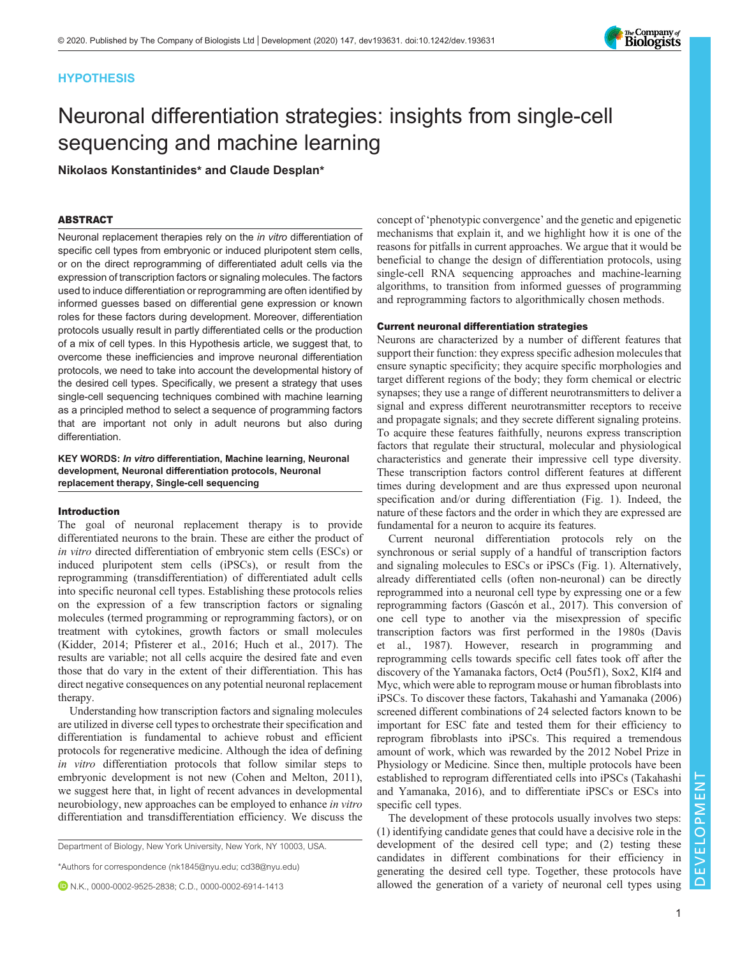# HYPOTHESIS

# Neuronal differentiation strategies: insights from single-cell sequencing and machine learning

Nikolaos Konstantinides\* and Claude Desplan\*

# ABSTRACT

Neuronal replacement therapies rely on the in vitro differentiation of specific cell types from embryonic or induced pluripotent stem cells, or on the direct reprogramming of differentiated adult cells via the expression of transcription factors or signaling molecules. The factors used to induce differentiation or reprogramming are often identified by informed guesses based on differential gene expression or known roles for these factors during development. Moreover, differentiation protocols usually result in partly differentiated cells or the production of a mix of cell types. In this Hypothesis article, we suggest that, to overcome these inefficiencies and improve neuronal differentiation protocols, we need to take into account the developmental history of the desired cell types. Specifically, we present a strategy that uses single-cell sequencing techniques combined with machine learning as a principled method to select a sequence of programming factors that are important not only in adult neurons but also during differentiation.

KEY WORDS: In vitro differentiation, Machine learning, Neuronal development, Neuronal differentiation protocols, Neuronal replacement therapy, Single-cell sequencing

### Introduction

The goal of neuronal replacement therapy is to provide differentiated neurons to the brain. These are either the product of in vitro directed differentiation of embryonic stem cells (ESCs) or induced pluripotent stem cells (iPSCs), or result from the reprogramming (transdifferentiation) of differentiated adult cells into specific neuronal cell types. Establishing these protocols relies on the expression of a few transcription factors or signaling molecules (termed programming or reprogramming factors), or on treatment with cytokines, growth factors or small molecules [\(Kidder, 2014;](#page-7-0) [Pfisterer et al., 2016;](#page-8-0) [Huch et al., 2017\)](#page-7-0). The results are variable; not all cells acquire the desired fate and even those that do vary in the extent of their differentiation. This has direct negative consequences on any potential neuronal replacement therapy.

Understanding how transcription factors and signaling molecules are utilized in diverse cell types to orchestrate their specification and differentiation is fundamental to achieve robust and efficient protocols for regenerative medicine. Although the idea of defining in vitro differentiation protocols that follow similar steps to embryonic development is not new ([Cohen and Melton, 2011\)](#page-7-0), we suggest here that, in light of recent advances in developmental neurobiology, new approaches can be employed to enhance in vitro differentiation and transdifferentiation efficiency. We discuss the

Department of Biology, New York University, New York, NY 10003, USA.

\*Authors for correspondence ([nk1845@nyu.edu](mailto:nk1845@nyu.edu); [cd38@nyu.edu\)](mailto:cd38@nyu.edu)

N.K., [0000-0002-9525-2838](http://orcid.org/0000-0002-9525-2838); C.D., [0000-0002-6914-1413](http://orcid.org/0000-0002-6914-1413)

concept of 'phenotypic convergence' and the genetic and epigenetic mechanisms that explain it, and we highlight how it is one of the reasons for pitfalls in current approaches. We argue that it would be beneficial to change the design of differentiation protocols, using single-cell RNA sequencing approaches and machine-learning algorithms, to transition from informed guesses of programming and reprogramming factors to algorithmically chosen methods.

# Current neuronal differentiation strategies

Neurons are characterized by a number of different features that support their function: they express specific adhesion molecules that ensure synaptic specificity; they acquire specific morphologies and target different regions of the body; they form chemical or electric synapses; they use a range of different neurotransmitters to deliver a signal and express different neurotransmitter receptors to receive and propagate signals; and they secrete different signaling proteins. To acquire these features faithfully, neurons express transcription factors that regulate their structural, molecular and physiological characteristics and generate their impressive cell type diversity. These transcription factors control different features at different times during development and are thus expressed upon neuronal specification and/or during differentiation [\(Fig. 1](#page-1-0)). Indeed, the nature of these factors and the order in which they are expressed are fundamental for a neuron to acquire its features.

Current neuronal differentiation protocols rely on the synchronous or serial supply of a handful of transcription factors and signaling molecules to ESCs or iPSCs [\(Fig. 1](#page-1-0)). Alternatively, already differentiated cells (often non-neuronal) can be directly reprogrammed into a neuronal cell type by expressing one or a few reprogramming factors ([Gascón et al., 2017\)](#page-7-0). This conversion of one cell type to another via the misexpression of specific transcription factors was first performed in the 1980s [\(Davis](#page-7-0) [et al., 1987](#page-7-0)). However, research in programming and reprogramming cells towards specific cell fates took off after the discovery of the Yamanaka factors, Oct4 (Pou5f1), Sox2, Klf4 and Myc, which were able to reprogram mouse or human fibroblasts into iPSCs. To discover these factors, Takahashi and Yamanaka ([2006\)](#page-8-0) screened different combinations of 24 selected factors known to be important for ESC fate and tested them for their efficiency to reprogram fibroblasts into iPSCs. This required a tremendous amount of work, which was rewarded by the 2012 Nobel Prize in Physiology or Medicine. Since then, multiple protocols have been established to reprogram differentiated cells into iPSCs [\(Takahashi](#page-8-0) [and Yamanaka, 2016\)](#page-8-0), and to differentiate iPSCs or ESCs into specific cell types.

The development of these protocols usually involves two steps: (1) identifying candidate genes that could have a decisive role in the development of the desired cell type; and (2) testing these candidates in different combinations for their efficiency in generating the desired cell type. Together, these protocols have allowed the generation of a variety of neuronal cell types using



 $\geq$  $\triangle$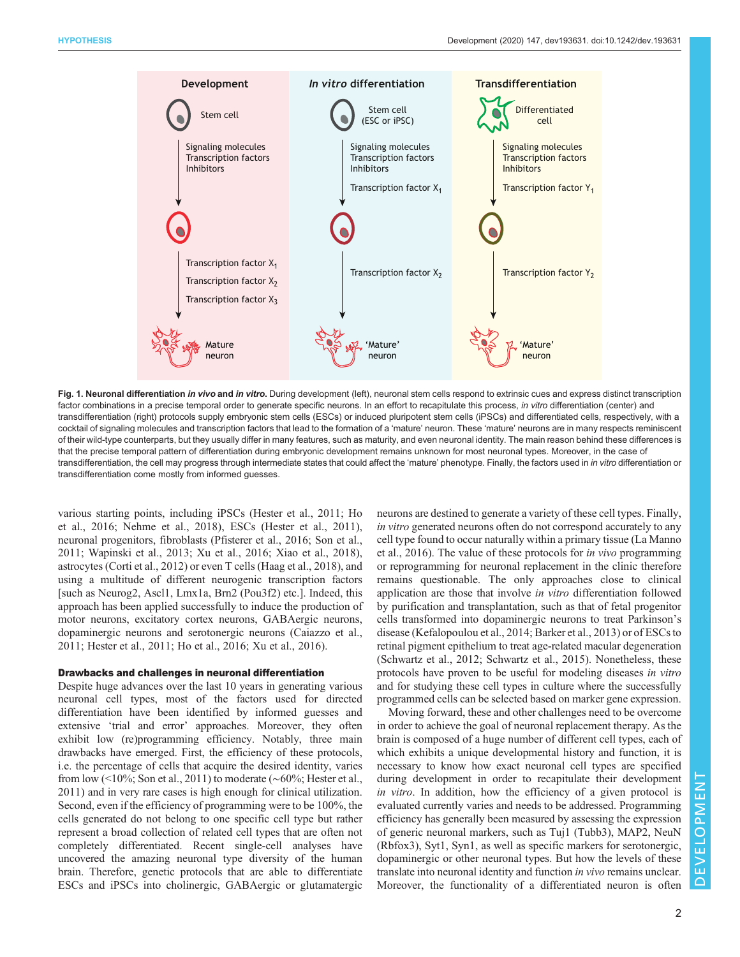<span id="page-1-0"></span>

Fig. 1. Neuronal differentiation in vivo and in vitro. During development (left), neuronal stem cells respond to extrinsic cues and express distinct transcription factor combinations in a precise temporal order to generate specific neurons. In an effort to recapitulate this process, in vitro differentiation (center) and transdifferentiation (right) protocols supply embryonic stem cells (ESCs) or induced pluripotent stem cells (iPSCs) and differentiated cells, respectively, with a cocktail of signaling molecules and transcription factors that lead to the formation of a 'mature' neuron. These 'mature' neurons are in many respects reminiscent of their wild-type counterparts, but they usually differ in many features, such as maturity, and even neuronal identity. The main reason behind these differences is that the precise temporal pattern of differentiation during embryonic development remains unknown for most neuronal types. Moreover, in the case of transdifferentiation, the cell may progress through intermediate states that could affect the 'mature' phenotype. Finally, the factors used in in vitro differentiation or transdifferentiation come mostly from informed guesses.

various starting points, including iPSCs ([Hester et al., 2011](#page-7-0); [Ho](#page-7-0) [et al., 2016;](#page-7-0) [Nehme et al., 2018](#page-8-0)), ESCs [\(Hester et al., 2011\)](#page-7-0), neuronal progenitors, fibroblasts ([Pfisterer et al., 2016](#page-8-0); [Son et al.,](#page-8-0) [2011](#page-8-0); [Wapinski et al., 2013;](#page-8-0) [Xu et al., 2016](#page-9-0); [Xiao et al., 2018\)](#page-9-0), astrocytes [\(Corti et al., 2012](#page-7-0)) or even T cells [\(Haag et al., 2018\)](#page-8-0), and using a multitude of different neurogenic transcription factors [such as Neurog2, Ascl1, Lmx1a, Brn2 (Pou3f2) etc.]. Indeed, this approach has been applied successfully to induce the production of motor neurons, excitatory cortex neurons, GABAergic neurons, dopaminergic neurons and serotonergic neurons [\(Caiazzo et al.,](#page-7-0) [2011](#page-7-0); [Hester et al., 2011; Ho et al., 2016;](#page-7-0) [Xu et al., 2016\)](#page-9-0).

#### Drawbacks and challenges in neuronal differentiation

Despite huge advances over the last 10 years in generating various neuronal cell types, most of the factors used for directed differentiation have been identified by informed guesses and extensive 'trial and error' approaches. Moreover, they often exhibit low (re)programming efficiency. Notably, three main drawbacks have emerged. First, the efficiency of these protocols, i.e. the percentage of cells that acquire the desired identity, varies from low (<10%; [Son et al., 2011\)](#page-8-0) to moderate (∼60%; [Hester et al.,](#page-7-0) [2011](#page-7-0)) and in very rare cases is high enough for clinical utilization. Second, even if the efficiency of programming were to be 100%, the cells generated do not belong to one specific cell type but rather represent a broad collection of related cell types that are often not completely differentiated. Recent single-cell analyses have uncovered the amazing neuronal type diversity of the human brain. Therefore, genetic protocols that are able to differentiate ESCs and iPSCs into cholinergic, GABAergic or glutamatergic

neurons are destined to generate a variety of these cell types. Finally, in vitro generated neurons often do not correspond accurately to any cell type found to occur naturally within a primary tissue [\(La Manno](#page-7-0) [et al., 2016](#page-7-0)). The value of these protocols for in vivo programming or reprogramming for neuronal replacement in the clinic therefore remains questionable. The only approaches close to clinical application are those that involve in vitro differentiation followed by purification and transplantation, such as that of fetal progenitor cells transformed into dopaminergic neurons to treat Parkinson's disease ([Kefalopoulou et al., 2014](#page-7-0); [Barker et al., 2013](#page-6-0)) or of ESCs to retinal pigment epithelium to treat age-related macular degeneration [\(Schwartz et al., 2012; Schwartz et al., 2015](#page-8-0)). Nonetheless, these protocols have proven to be useful for modeling diseases in vitro and for studying these cell types in culture where the successfully programmed cells can be selected based on marker gene expression.

Moving forward, these and other challenges need to be overcome in order to achieve the goal of neuronal replacement therapy. As the brain is composed of a huge number of different cell types, each of which exhibits a unique developmental history and function, it is necessary to know how exact neuronal cell types are specified during development in order to recapitulate their development in vitro. In addition, how the efficiency of a given protocol is evaluated currently varies and needs to be addressed. Programming efficiency has generally been measured by assessing the expression of generic neuronal markers, such as Tuj1 (Tubb3), MAP2, NeuN (Rbfox3), Syt1, Syn1, as well as specific markers for serotonergic, dopaminergic or other neuronal types. But how the levels of these translate into neuronal identity and function in vivo remains unclear. Moreover, the functionality of a differentiated neuron is often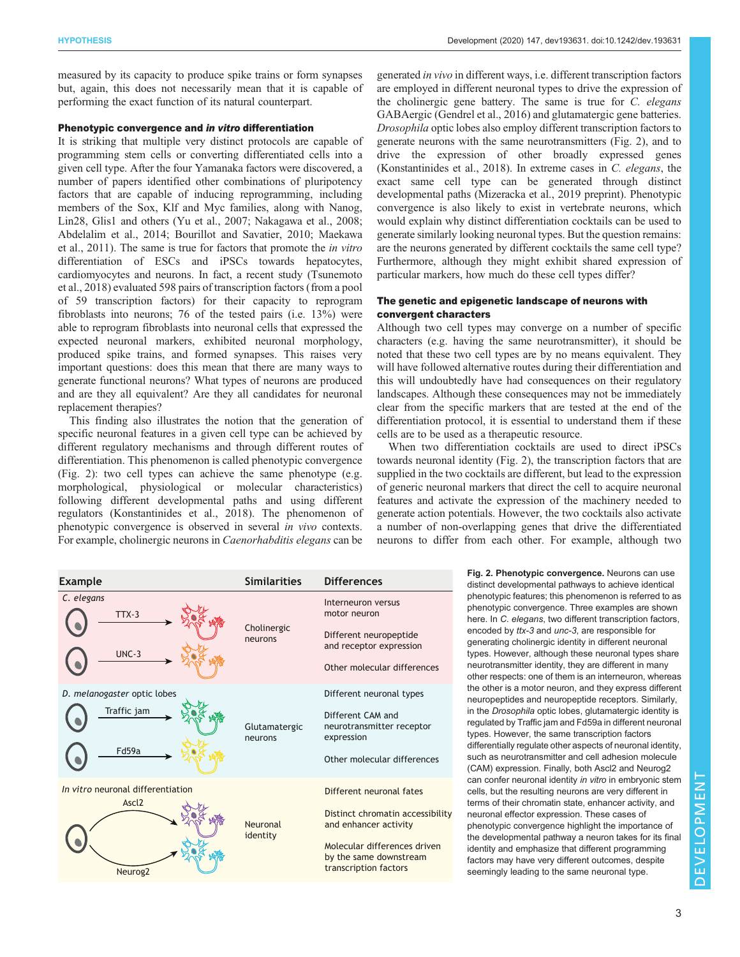<span id="page-2-0"></span>measured by its capacity to produce spike trains or form synapses but, again, this does not necessarily mean that it is capable of performing the exact function of its natural counterpart.

# Phenotypic convergence and in vitro differentiation

It is striking that multiple very distinct protocols are capable of programming stem cells or converting differentiated cells into a given cell type. After the four Yamanaka factors were discovered, a number of papers identified other combinations of pluripotency factors that are capable of inducing reprogramming, including members of the Sox, Klf and Myc families, along with Nanog, Lin28, Glis1 and others [\(Yu et al., 2007;](#page-9-0) [Nakagawa et al., 2008](#page-8-0); [Abdelalim et al., 2014;](#page-6-0) [Bourillot and Savatier, 2010; Maekawa](#page-7-0) [et al., 2011\)](#page-7-0). The same is true for factors that promote the in vitro differentiation of ESCs and iPSCs towards hepatocytes, cardiomyocytes and neurons. In fact, a recent study [\(Tsunemoto](#page-8-0) [et al., 2018\)](#page-8-0) evaluated 598 pairs of transcription factors (from a pool of 59 transcription factors) for their capacity to reprogram fibroblasts into neurons; 76 of the tested pairs (i.e. 13%) were able to reprogram fibroblasts into neuronal cells that expressed the expected neuronal markers, exhibited neuronal morphology, produced spike trains, and formed synapses. This raises very important questions: does this mean that there are many ways to generate functional neurons? What types of neurons are produced and are they all equivalent? Are they all candidates for neuronal replacement therapies?

This finding also illustrates the notion that the generation of specific neuronal features in a given cell type can be achieved by different regulatory mechanisms and through different routes of differentiation. This phenomenon is called phenotypic convergence (Fig. 2): two cell types can achieve the same phenotype (e.g. morphological, physiological or molecular characteristics) following different developmental paths and using different regulators [\(Konstantinides et al., 2018](#page-7-0)). The phenomenon of phenotypic convergence is observed in several in vivo contexts. For example, cholinergic neurons in Caenorhabditis elegans can be generated in vivo in different ways, i.e. different transcription factors are employed in different neuronal types to drive the expression of the cholinergic gene battery. The same is true for C. elegans GABAergic ([Gendrel et al., 2016](#page-7-0)) and glutamatergic gene batteries. Drosophila optic lobes also employ different transcription factors to generate neurons with the same neurotransmitters (Fig. 2), and to drive the expression of other broadly expressed genes [\(Konstantinides et al., 2018\)](#page-7-0). In extreme cases in C. elegans, the exact same cell type can be generated through distinct developmental paths ([Mizeracka et al., 2019](#page-8-0) preprint). Phenotypic convergence is also likely to exist in vertebrate neurons, which would explain why distinct differentiation cocktails can be used to generate similarly looking neuronal types. But the question remains: are the neurons generated by different cocktails the same cell type? Furthermore, although they might exhibit shared expression of particular markers, how much do these cell types differ?

# The genetic and epigenetic landscape of neurons with convergent characters

Although two cell types may converge on a number of specific characters (e.g. having the same neurotransmitter), it should be noted that these two cell types are by no means equivalent. They will have followed alternative routes during their differentiation and this will undoubtedly have had consequences on their regulatory landscapes. Although these consequences may not be immediately clear from the specific markers that are tested at the end of the differentiation protocol, it is essential to understand them if these cells are to be used as a therapeutic resource.

When two differentiation cocktails are used to direct iPSCs towards neuronal identity (Fig. 2), the transcription factors that are supplied in the two cocktails are different, but lead to the expression of generic neuronal markers that direct the cell to acquire neuronal features and activate the expression of the machinery needed to generate action potentials. However, the two cocktails also activate a number of non-overlapping genes that drive the differentiated neurons to differ from each other. For example, although two

| <b>Example</b>                                                                | <b>Similarities</b>      | <b>Differences</b>                                                                                                                                                       |
|-------------------------------------------------------------------------------|--------------------------|--------------------------------------------------------------------------------------------------------------------------------------------------------------------------|
| C. elegans<br>$TTX-3$<br>$UNC-3$                                              | Cholinergic<br>neurons   | Interneuron versus<br>motor neuron<br>Different neuropeptide<br>and receptor expression<br>Other molecular differences                                                   |
| D. melanogaster optic lobes<br>Traffic jam<br>Fd59a                           | Glutamatergic<br>neurons | Different neuronal types<br>Different CAM and<br>neurotransmitter receptor<br>expression<br>Other molecular differences                                                  |
| In vitro neuronal differentiation<br>Ascl <sub>2</sub><br>Neurog <sub>2</sub> | Neuronal<br>identity     | Different neuronal fates<br>Distinct chromatin accessibility<br>and enhancer activity<br>Molecular differences driven<br>by the same downstream<br>transcription factors |

Fig. 2. Phenotypic convergence. Neurons can use distinct developmental pathways to achieve identical phenotypic features; this phenomenon is referred to as phenotypic convergence. Three examples are shown here. In C. elegans, two different transcription factors, encoded by ttx-3 and unc-3, are responsible for generating cholinergic identity in different neuronal types. However, although these neuronal types share neurotransmitter identity, they are different in many other respects: one of them is an interneuron, whereas the other is a motor neuron, and they express different neuropeptides and neuropeptide receptors. Similarly, in the Drosophila optic lobes, glutamatergic identity is regulated by Traffic jam and Fd59a in different neuronal types. However, the same transcription factors differentially regulate other aspects of neuronal identity, such as neurotransmitter and cell adhesion molecule (CAM) expression. Finally, both Ascl2 and Neurog2 can confer neuronal identity in vitro in embryonic stem cells, but the resulting neurons are very different in terms of their chromatin state, enhancer activity, and neuronal effector expression. These cases of phenotypic convergence highlight the importance of the developmental pathway a neuron takes for its final identity and emphasize that different programming factors may have very different outcomes, despite seemingly leading to the same neuronal type.

DEVELOPMENT**DEVELOPMENT**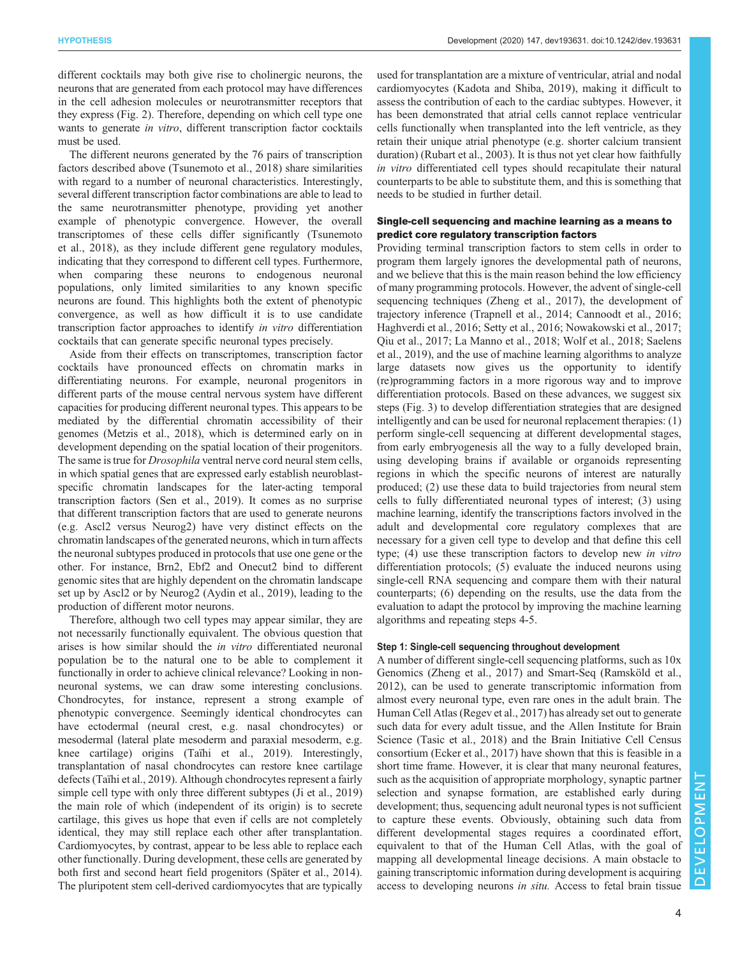different cocktails may both give rise to cholinergic neurons, the neurons that are generated from each protocol may have differences in the cell adhesion molecules or neurotransmitter receptors that they express ([Fig. 2](#page-2-0)). Therefore, depending on which cell type one wants to generate in vitro, different transcription factor cocktails must be used.

The different neurons generated by the 76 pairs of transcription factors described above ([Tsunemoto et al., 2018](#page-8-0)) share similarities with regard to a number of neuronal characteristics. Interestingly, several different transcription factor combinations are able to lead to the same neurotransmitter phenotype, providing yet another example of phenotypic convergence. However, the overall transcriptomes of these cells differ significantly [\(Tsunemoto](#page-8-0) [et al., 2018](#page-8-0)), as they include different gene regulatory modules, indicating that they correspond to different cell types. Furthermore, when comparing these neurons to endogenous neuronal populations, only limited similarities to any known specific neurons are found. This highlights both the extent of phenotypic convergence, as well as how difficult it is to use candidate transcription factor approaches to identify in vitro differentiation cocktails that can generate specific neuronal types precisely.

Aside from their effects on transcriptomes, transcription factor cocktails have pronounced effects on chromatin marks in differentiating neurons. For example, neuronal progenitors in different parts of the mouse central nervous system have different capacities for producing different neuronal types. This appears to be mediated by the differential chromatin accessibility of their genomes ([Metzis et al., 2018\)](#page-8-0), which is determined early on in development depending on the spatial location of their progenitors. The same is true for *Drosophila* ventral nerve cord neural stem cells, in which spatial genes that are expressed early establish neuroblastspecific chromatin landscapes for the later-acting temporal transcription factors [\(Sen et al., 2019](#page-8-0)). It comes as no surprise that different transcription factors that are used to generate neurons (e.g. Ascl2 versus Neurog2) have very distinct effects on the chromatin landscapes of the generated neurons, which in turn affects the neuronal subtypes produced in protocols that use one gene or the other. For instance, Brn2, Ebf2 and Onecut2 bind to different genomic sites that are highly dependent on the chromatin landscape set up by Ascl2 or by Neurog2 [\(Aydin et al., 2019](#page-6-0)), leading to the production of different motor neurons.

Therefore, although two cell types may appear similar, they are not necessarily functionally equivalent. The obvious question that arises is how similar should the in vitro differentiated neuronal population be to the natural one to be able to complement it functionally in order to achieve clinical relevance? Looking in nonneuronal systems, we can draw some interesting conclusions. Chondrocytes, for instance, represent a strong example of phenotypic convergence. Seemingly identical chondrocytes can have ectodermal (neural crest, e.g. nasal chondrocytes) or mesodermal (lateral plate mesoderm and paraxial mesoderm, e.g. knee cartilage) origins [\(Taïhi et al., 2019\)](#page-8-0). Interestingly, transplantation of nasal chondrocytes can restore knee cartilage defects [\(Taïhi et al., 2019\)](#page-8-0). Although chondrocytes represent a fairly simple cell type with only three different subtypes [\(Ji et al., 2019\)](#page-7-0) the main role of which (independent of its origin) is to secrete cartilage, this gives us hope that even if cells are not completely identical, they may still replace each other after transplantation. Cardiomyocytes, by contrast, appear to be less able to replace each other functionally. During development, these cells are generated by both first and second heart field progenitors ([Später et al., 2014\)](#page-8-0). The pluripotent stem cell-derived cardiomyocytes that are typically

used for transplantation are a mixture of ventricular, atrial and nodal cardiomyocytes [\(Kadota and Shiba, 2019\)](#page-7-0), making it difficult to assess the contribution of each to the cardiac subtypes. However, it has been demonstrated that atrial cells cannot replace ventricular cells functionally when transplanted into the left ventricle, as they retain their unique atrial phenotype (e.g. shorter calcium transient duration) [\(Rubart et al., 2003\)](#page-8-0). It is thus not yet clear how faithfully in vitro differentiated cell types should recapitulate their natural counterparts to be able to substitute them, and this is something that needs to be studied in further detail.

# Single-cell sequencing and machine learning as a means to predict core regulatory transcription factors

Providing terminal transcription factors to stem cells in order to program them largely ignores the developmental path of neurons, and we believe that this is the main reason behind the low efficiency of many programming protocols. However, the advent of single-cell sequencing techniques ([Zheng et al., 2017\)](#page-9-0), the development of trajectory inference [\(Trapnell et al., 2014](#page-8-0); [Cannoodt et al., 2016](#page-7-0); [Haghverdi et al., 2016;](#page-7-0) [Setty et al., 2016; Nowakowski et al., 2017](#page-8-0); [Qiu et al., 2017](#page-8-0); [La Manno et al., 2018;](#page-7-0) [Wolf et al., 2018](#page-9-0); [Saelens](#page-8-0) [et al., 2019\)](#page-8-0), and the use of machine learning algorithms to analyze large datasets now gives us the opportunity to identify (re)programming factors in a more rigorous way and to improve differentiation protocols. Based on these advances, we suggest six steps [\(Fig. 3\)](#page-4-0) to develop differentiation strategies that are designed intelligently and can be used for neuronal replacement therapies: (1) perform single-cell sequencing at different developmental stages, from early embryogenesis all the way to a fully developed brain, using developing brains if available or organoids representing regions in which the specific neurons of interest are naturally produced; (2) use these data to build trajectories from neural stem cells to fully differentiated neuronal types of interest; (3) using machine learning, identify the transcriptions factors involved in the adult and developmental core regulatory complexes that are necessary for a given cell type to develop and that define this cell type; (4) use these transcription factors to develop new in vitro differentiation protocols; (5) evaluate the induced neurons using single-cell RNA sequencing and compare them with their natural counterparts; (6) depending on the results, use the data from the evaluation to adapt the protocol by improving the machine learning algorithms and repeating steps 4-5.

# Step 1: Single-cell sequencing throughout development

A number of different single-cell sequencing platforms, such as 10x Genomics ([Zheng et al., 2017\)](#page-9-0) and Smart-Seq [\(Ramsköld et al.,](#page-8-0) [2012\)](#page-8-0), can be used to generate transcriptomic information from almost every neuronal type, even rare ones in the adult brain. The Human Cell Atlas [\(Regev et al., 2017\)](#page-8-0) has already set out to generate such data for every adult tissue, and the Allen Institute for Brain Science [\(Tasic et al., 2018\)](#page-8-0) and the Brain Initiative Cell Census consortium ([Ecker et al., 2017\)](#page-7-0) have shown that this is feasible in a short time frame. However, it is clear that many neuronal features, such as the acquisition of appropriate morphology, synaptic partner selection and synapse formation, are established early during development; thus, sequencing adult neuronal types is not sufficient to capture these events. Obviously, obtaining such data from different developmental stages requires a coordinated effort, equivalent to that of the Human Cell Atlas, with the goal of mapping all developmental lineage decisions. A main obstacle to gaining transcriptomic information during development is acquiring access to developing neurons in situ. Access to fetal brain tissue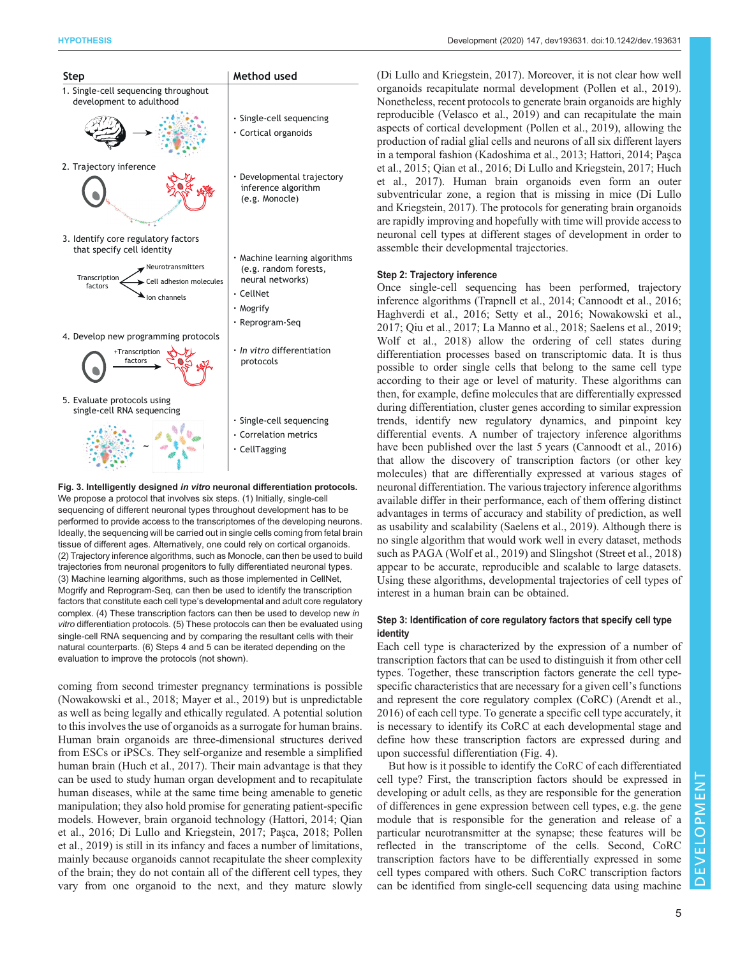<span id="page-4-0"></span>



coming from second trimester pregnancy terminations is possible [\(Nowakowski et al., 2018](#page-8-0); [Mayer et al., 2019\)](#page-7-0) but is unpredictable as well as being legally and ethically regulated. A potential solution to this involves the use of organoids as a surrogate for human brains. Human brain organoids are three-dimensional structures derived from ESCs or iPSCs. They self-organize and resemble a simplified human brain ([Huch et al., 2017](#page-7-0)). Their main advantage is that they can be used to study human organ development and to recapitulate human diseases, while at the same time being amenable to genetic manipulation; they also hold promise for generating patient-specific models. However, brain organoid technology ([Hattori, 2014](#page-7-0); [Qian](#page-8-0) [et al., 2016;](#page-8-0) [Di Lullo and Kriegstein, 2017](#page-7-0); [Pasca, 2018; Pollen](#page-8-0) [et al., 2019](#page-8-0)) is still in its infancy and faces a number of limitations, mainly because organoids cannot recapitulate the sheer complexity of the brain; they do not contain all of the different cell types, they vary from one organoid to the next, and they mature slowly

[\(Di Lullo and Kriegstein, 2017\)](#page-7-0). Moreover, it is not clear how well organoids recapitulate normal development [\(Pollen et al., 2019\)](#page-8-0). Nonetheless, recent protocols to generate brain organoids are highly reproducible ([Velasco et al., 2019](#page-8-0)) and can recapitulate the main aspects of cortical development ([Pollen et al., 2019](#page-8-0)), allowing the production of radial glial cells and neurons of all six different layers in a temporal fashion [\(Kadoshima et al., 2013](#page-7-0); [Hattori, 2014;](#page-7-0) [Pasca](#page-8-0)̧ [et al., 2015; Qian et al., 2016;](#page-8-0) [Di Lullo and Kriegstein, 2017; Huch](#page-7-0) [et al., 2017\)](#page-7-0). Human brain organoids even form an outer subventricular zone, a region that is missing in mice ([Di Lullo](#page-7-0) [and Kriegstein, 2017](#page-7-0)). The protocols for generating brain organoids are rapidly improving and hopefully with time will provide access to neuronal cell types at different stages of development in order to assemble their developmental trajectories.

#### Step 2: Trajectory inference

Once single-cell sequencing has been performed, trajectory inference algorithms ([Trapnell et al., 2014](#page-8-0); [Cannoodt et al., 2016](#page-7-0); [Haghverdi et al., 2016;](#page-7-0) [Setty et al., 2016](#page-8-0); [Nowakowski et al.,](#page-8-0) [2017; Qiu et al., 2017;](#page-8-0) [La Manno et al., 2018](#page-7-0); [Saelens et al., 2019](#page-8-0); [Wolf et al., 2018\)](#page-9-0) allow the ordering of cell states during differentiation processes based on transcriptomic data. It is thus possible to order single cells that belong to the same cell type according to their age or level of maturity. These algorithms can then, for example, define molecules that are differentially expressed during differentiation, cluster genes according to similar expression trends, identify new regulatory dynamics, and pinpoint key differential events. A number of trajectory inference algorithms have been published over the last 5 years [\(Cannoodt et al., 2016\)](#page-7-0) that allow the discovery of transcription factors (or other key molecules) that are differentially expressed at various stages of neuronal differentiation. The various trajectory inference algorithms available differ in their performance, each of them offering distinct advantages in terms of accuracy and stability of prediction, as well as usability and scalability [\(Saelens et al., 2019\)](#page-8-0). Although there is no single algorithm that would work well in every dataset, methods such as PAGA ([Wolf et al., 2019\)](#page-9-0) and Slingshot [\(Street et al., 2018\)](#page-8-0) appear to be accurate, reproducible and scalable to large datasets. Using these algorithms, developmental trajectories of cell types of interest in a human brain can be obtained.

# Step 3: Identification of core regulatory factors that specify cell type identity

Each cell type is characterized by the expression of a number of transcription factors that can be used to distinguish it from other cell types. Together, these transcription factors generate the cell typespecific characteristics that are necessary for a given cell's functions and represent the core regulatory complex (CoRC) [\(Arendt et al.,](#page-6-0) [2016\)](#page-6-0) of each cell type. To generate a specific cell type accurately, it is necessary to identify its CoRC at each developmental stage and define how these transcription factors are expressed during and upon successful differentiation ([Fig. 4](#page-5-0)).

But how is it possible to identify the CoRC of each differentiated cell type? First, the transcription factors should be expressed in developing or adult cells, as they are responsible for the generation of differences in gene expression between cell types, e.g. the gene module that is responsible for the generation and release of a particular neurotransmitter at the synapse; these features will be reflected in the transcriptome of the cells. Second, CoRC transcription factors have to be differentially expressed in some cell types compared with others. Such CoRC transcription factors can be identified from single-cell sequencing data using machine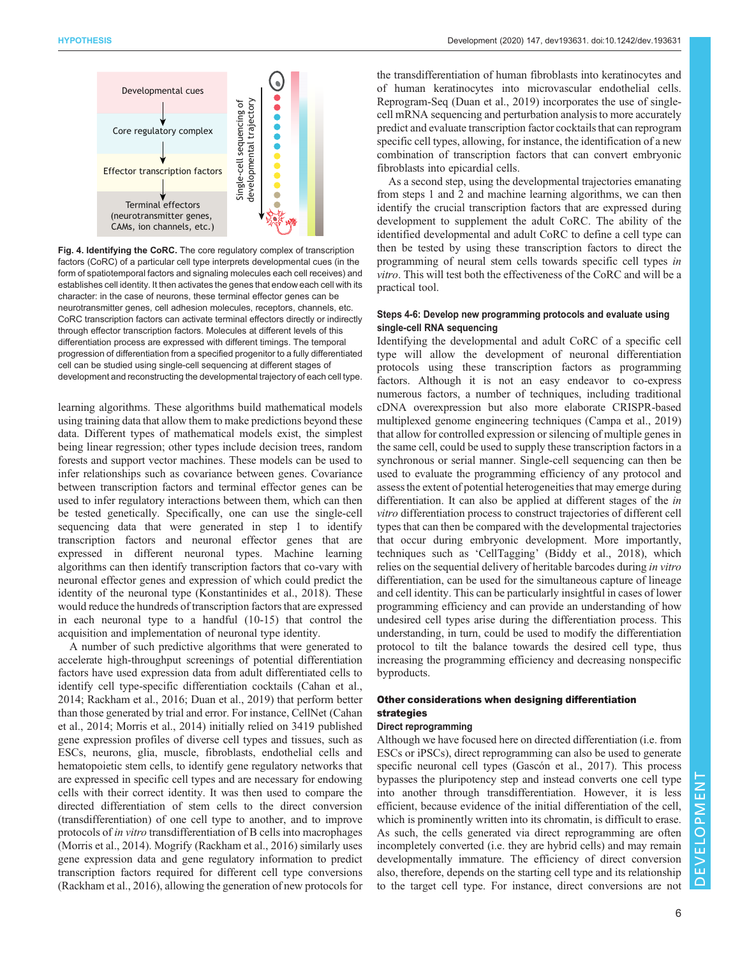<span id="page-5-0"></span>

Fig. 4. Identifying the CoRC. The core regulatory complex of transcription factors (CoRC) of a particular cell type interprets developmental cues (in the form of spatiotemporal factors and signaling molecules each cell receives) and establishes cell identity. It then activates the genes that endow each cell with its character: in the case of neurons, these terminal effector genes can be neurotransmitter genes, cell adhesion molecules, receptors, channels, etc. CoRC transcription factors can activate terminal effectors directly or indirectly through effector transcription factors. Molecules at different levels of this differentiation process are expressed with different timings. The temporal progression of differentiation from a specified progenitor to a fully differentiated cell can be studied using single-cell sequencing at different stages of development and reconstructing the developmental trajectory of each cell type.

learning algorithms. These algorithms build mathematical models using training data that allow them to make predictions beyond these data. Different types of mathematical models exist, the simplest being linear regression; other types include decision trees, random forests and support vector machines. These models can be used to infer relationships such as covariance between genes. Covariance between transcription factors and terminal effector genes can be used to infer regulatory interactions between them, which can then be tested genetically. Specifically, one can use the single-cell sequencing data that were generated in step 1 to identify transcription factors and neuronal effector genes that are expressed in different neuronal types. Machine learning algorithms can then identify transcription factors that co-vary with neuronal effector genes and expression of which could predict the identity of the neuronal type ([Konstantinides et al., 2018\)](#page-7-0). These would reduce the hundreds of transcription factors that are expressed in each neuronal type to a handful (10-15) that control the acquisition and implementation of neuronal type identity.

A number of such predictive algorithms that were generated to accelerate high-throughput screenings of potential differentiation factors have used expression data from adult differentiated cells to identify cell type-specific differentiation cocktails [\(Cahan et al.,](#page-7-0) [2014](#page-7-0); [Rackham et al., 2016;](#page-8-0) [Duan et al., 2019\)](#page-7-0) that perform better than those generated by trial and error. For instance, CellNet ([Cahan](#page-7-0) [et al., 2014;](#page-7-0) [Morris et al., 2014](#page-8-0)) initially relied on 3419 published gene expression profiles of diverse cell types and tissues, such as ESCs, neurons, glia, muscle, fibroblasts, endothelial cells and hematopoietic stem cells, to identify gene regulatory networks that are expressed in specific cell types and are necessary for endowing cells with their correct identity. It was then used to compare the directed differentiation of stem cells to the direct conversion (transdifferentiation) of one cell type to another, and to improve protocols of in vitro transdifferentiation of B cells into macrophages [\(Morris et al., 2014](#page-8-0)). Mogrify [\(Rackham et al., 2016](#page-8-0)) similarly uses gene expression data and gene regulatory information to predict transcription factors required for different cell type conversions [\(Rackham et al., 2016](#page-8-0)), allowing the generation of new protocols for

the transdifferentiation of human fibroblasts into keratinocytes and of human keratinocytes into microvascular endothelial cells. Reprogram-Seq ([Duan et al., 2019](#page-7-0)) incorporates the use of singlecell mRNA sequencing and perturbation analysis to more accurately predict and evaluate transcription factor cocktails that can reprogram specific cell types, allowing, for instance, the identification of a new combination of transcription factors that can convert embryonic fibroblasts into epicardial cells.

As a second step, using the developmental trajectories emanating from steps 1 and 2 and machine learning algorithms, we can then identify the crucial transcription factors that are expressed during development to supplement the adult CoRC. The ability of the identified developmental and adult CoRC to define a cell type can then be tested by using these transcription factors to direct the programming of neural stem cells towards specific cell types in vitro. This will test both the effectiveness of the CoRC and will be a practical tool.

## Steps 4-6: Develop new programming protocols and evaluate using single-cell RNA sequencing

Identifying the developmental and adult CoRC of a specific cell type will allow the development of neuronal differentiation protocols using these transcription factors as programming factors. Although it is not an easy endeavor to co-express numerous factors, a number of techniques, including traditional cDNA overexpression but also more elaborate CRISPR-based multiplexed genome engineering techniques [\(Campa et al., 2019\)](#page-7-0) that allow for controlled expression or silencing of multiple genes in the same cell, could be used to supply these transcription factors in a synchronous or serial manner. Single-cell sequencing can then be used to evaluate the programming efficiency of any protocol and assess the extent of potential heterogeneities that may emerge during differentiation. It can also be applied at different stages of the in vitro differentiation process to construct trajectories of different cell types that can then be compared with the developmental trajectories that occur during embryonic development. More importantly, techniques such as 'CellTagging' [\(Biddy et al., 2018](#page-7-0)), which relies on the sequential delivery of heritable barcodes during in vitro differentiation, can be used for the simultaneous capture of lineage and cell identity. This can be particularly insightful in cases of lower programming efficiency and can provide an understanding of how undesired cell types arise during the differentiation process. This understanding, in turn, could be used to modify the differentiation protocol to tilt the balance towards the desired cell type, thus increasing the programming efficiency and decreasing nonspecific byproducts.

# Other considerations when designing differentiation strategies

#### Direct reprogramming

Although we have focused here on directed differentiation (i.e. from ESCs or iPSCs), direct reprogramming can also be used to generate specific neuronal cell types [\(Gascón et al., 2017](#page-7-0)). This process bypasses the pluripotency step and instead converts one cell type into another through transdifferentiation. However, it is less efficient, because evidence of the initial differentiation of the cell, which is prominently written into its chromatin, is difficult to erase. As such, the cells generated via direct reprogramming are often incompletely converted (i.e. they are hybrid cells) and may remain developmentally immature. The efficiency of direct conversion also, therefore, depends on the starting cell type and its relationship to the target cell type. For instance, direct conversions are not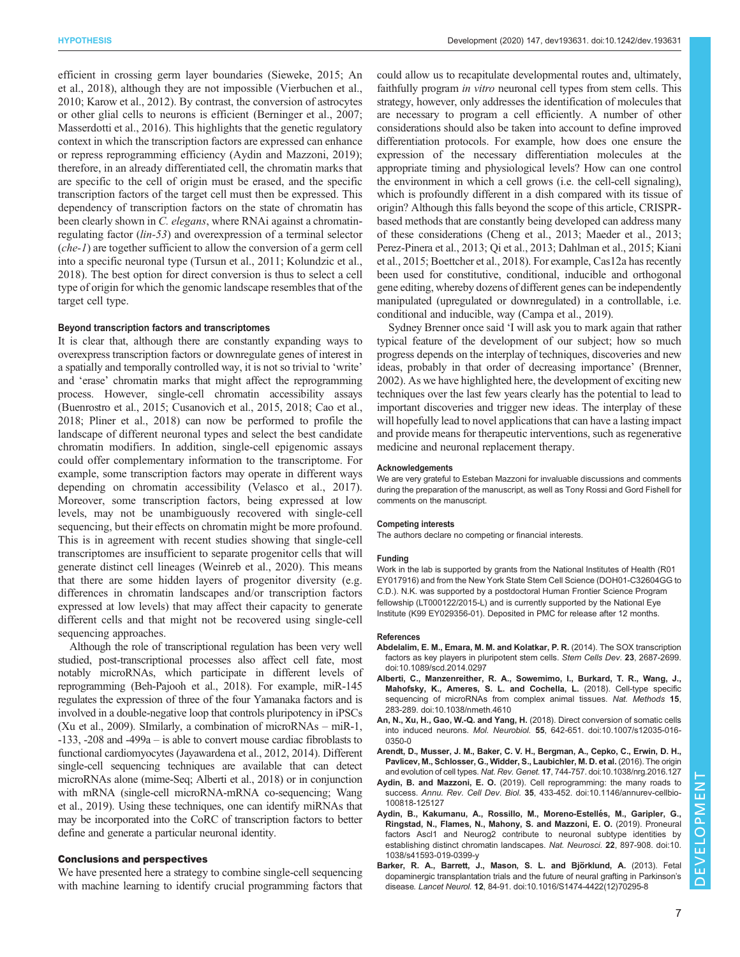<span id="page-6-0"></span>efficient in crossing germ layer boundaries ([Sieweke, 2015;](#page-8-0) An et al., 2018), although they are not impossible ([Vierbuchen et al.,](#page-8-0) [2010](#page-8-0); [Karow et al., 2012\)](#page-7-0). By contrast, the conversion of astrocytes or other glial cells to neurons is efficient ([Berninger et al., 2007](#page-7-0); [Masserdotti et al., 2016](#page-7-0)). This highlights that the genetic regulatory context in which the transcription factors are expressed can enhance or repress reprogramming efficiency (Aydin and Mazzoni, 2019); therefore, in an already differentiated cell, the chromatin marks that are specific to the cell of origin must be erased, and the specific transcription factors of the target cell must then be expressed. This dependency of transcription factors on the state of chromatin has been clearly shown in C. elegans, where RNAi against a chromatinregulating factor (*lin-53*) and overexpression of a terminal selector (che-1) are together sufficient to allow the conversion of a germ cell into a specific neuronal type ([Tursun et al., 2011](#page-8-0); [Kolundzic et al.,](#page-7-0) [2018](#page-7-0)). The best option for direct conversion is thus to select a cell type of origin for which the genomic landscape resembles that of the target cell type.

### Beyond transcription factors and transcriptomes

It is clear that, although there are constantly expanding ways to overexpress transcription factors or downregulate genes of interest in a spatially and temporally controlled way, it is not so trivial to 'write' and 'erase' chromatin marks that might affect the reprogramming process. However, single-cell chromatin accessibility assays [\(Buenrostro et al., 2015; Cusanovich et al., 2015, 2018; Cao et al.,](#page-7-0) [2018;](#page-7-0) [Pliner et al., 2018\)](#page-8-0) can now be performed to profile the landscape of different neuronal types and select the best candidate chromatin modifiers. In addition, single-cell epigenomic assays could offer complementary information to the transcriptome. For example, some transcription factors may operate in different ways depending on chromatin accessibility ([Velasco et al., 2017\)](#page-8-0). Moreover, some transcription factors, being expressed at low levels, may not be unambiguously recovered with single-cell sequencing, but their effects on chromatin might be more profound. This is in agreement with recent studies showing that single-cell transcriptomes are insufficient to separate progenitor cells that will generate distinct cell lineages ([Weinreb et al., 2020\)](#page-9-0). This means that there are some hidden layers of progenitor diversity (e.g. differences in chromatin landscapes and/or transcription factors expressed at low levels) that may affect their capacity to generate different cells and that might not be recovered using single-cell sequencing approaches.

Although the role of transcriptional regulation has been very well studied, post-transcriptional processes also affect cell fate, most notably microRNAs, which participate in different levels of reprogramming [\(Beh-Pajooh et al., 2018](#page-7-0)). For example, miR-145 regulates the expression of three of the four Yamanaka factors and is involved in a double-negative loop that controls pluripotency in iPSCs [\(Xu et al., 2009](#page-9-0)). SImilarly, a combination of microRNAs – miR-1, -133, -208 and -499a – is able to convert mouse cardiac fibroblasts to functional cardiomyocytes [\(Jayawardena et al., 2012](#page-7-0), [2014\)](#page-7-0). Different single-cell sequencing techniques are available that can detect microRNAs alone (mime-Seq; Alberti et al., 2018) or in conjunction with mRNA (single-cell microRNA-mRNA co-sequencing; [Wang](#page-8-0) [et al., 2019\)](#page-8-0). Using these techniques, one can identify miRNAs that may be incorporated into the CoRC of transcription factors to better define and generate a particular neuronal identity.

## Conclusions and perspectives

We have presented here a strategy to combine single-cell sequencing with machine learning to identify crucial programming factors that could allow us to recapitulate developmental routes and, ultimately, faithfully program *in vitro* neuronal cell types from stem cells. This strategy, however, only addresses the identification of molecules that are necessary to program a cell efficiently. A number of other considerations should also be taken into account to define improved differentiation protocols. For example, how does one ensure the expression of the necessary differentiation molecules at the appropriate timing and physiological levels? How can one control the environment in which a cell grows (i.e. the cell-cell signaling), which is profoundly different in a dish compared with its tissue of origin? Although this falls beyond the scope of this article, CRISPRbased methods that are constantly being developed can address many of these considerations [\(Cheng et al., 2013; Maeder et al., 2013](#page-7-0); [Perez-Pinera et al., 2013; Qi et al., 2013;](#page-8-0) [Dahlman et al., 2015; Kiani](#page-7-0) [et al., 2015](#page-7-0); [Boettcher et al., 2018](#page-7-0)). For example, Cas12a has recently been used for constitutive, conditional, inducible and orthogonal gene editing, whereby dozens of different genes can be independently manipulated (upregulated or downregulated) in a controllable, i.e. conditional and inducible, way [\(Campa et al., 2019\)](#page-7-0).

Sydney Brenner once said 'I will ask you to mark again that rather typical feature of the development of our subject; how so much progress depends on the interplay of techniques, discoveries and new ideas, probably in that order of decreasing importance' [\(Brenner,](#page-7-0) [2002\)](#page-7-0). As we have highlighted here, the development of exciting new techniques over the last few years clearly has the potential to lead to important discoveries and trigger new ideas. The interplay of these will hopefully lead to novel applications that can have a lasting impact and provide means for therapeutic interventions, such as regenerative medicine and neuronal replacement therapy.

#### Acknowledgements

We are very grateful to Esteban Mazzoni for invaluable discussions and comments during the preparation of the manuscript, as well as Tony Rossi and Gord Fishell for comments on the manuscript.

#### Competing interests

The authors declare no competing or financial interests.

#### Funding

Work in the lab is supported by grants from the National Institutes of Health (R01 EY017916) and from the New York State Stem Cell Science (DOH01-C32604GG to C.D.). N.K. was supported by a postdoctoral Human Frontier Science Program fellowship (LT000122/2015-L) and is currently supported by the National Eye Institute (K99 EY029356-01). Deposited in PMC for release after 12 months.

#### References

- [Abdelalim, E. M., Emara, M. M. and Kolatkar, P. R.](https://doi.org/10.1089/scd.2014.0297) (2014). The SOX transcription [factors as key players in pluripotent stem cells.](https://doi.org/10.1089/scd.2014.0297) Stem Cells Dev. 23, 2687-2699. [doi:10.1089/scd.2014.0297](https://doi.org/10.1089/scd.2014.0297)
- [Alberti, C., Manzenreither, R. A., Sowemimo, I., Burkard, T. R., Wang, J.,](https://doi.org/10.1038/nmeth.4610) [Mahofsky, K., Ameres, S. L. and Cochella, L.](https://doi.org/10.1038/nmeth.4610) (2018). Cell-type specific [sequencing of microRNAs from complex animal tissues.](https://doi.org/10.1038/nmeth.4610) Nat. Methods 15, [283-289. doi:10.1038/nmeth.4610](https://doi.org/10.1038/nmeth.4610)
- An, N., Xu, H., Gao, W.-Q. and Yang, H. [\(2018\). Direct conversion of somatic cells](https://doi.org/10.1007/s12035-016-0350-0) into induced neurons. Mol. Neurobiol. 55[, 642-651. doi:10.1007/s12035-016-](https://doi.org/10.1007/s12035-016-0350-0) [0350-0](https://doi.org/10.1007/s12035-016-0350-0)
- [Arendt, D., Musser, J. M., Baker, C. V. H., Bergman, A., Cepko, C., Erwin, D. H.,](https://doi.org/10.1038/nrg.2016.127) [Pavlicev, M., Schlosser, G., Widder, S., Laubichler, M. D. et al.](https://doi.org/10.1038/nrg.2016.127) (2016). The origin and evolution of cell types. Nat. Rev. Genet. 17[, 744-757. doi:10.1038/nrg.2016.127](https://doi.org/10.1038/nrg.2016.127)
- Aydin, B. and Mazzoni, E. O. [\(2019\). Cell reprogramming: the many roads to](https://doi.org/10.1146/annurev-cellbio-100818-125127) success. Annu. Rev. Cell Dev. Biol. 35[, 433-452. doi:10.1146/annurev-cellbio-](https://doi.org/10.1146/annurev-cellbio-100818-125127)[100818-125127](https://doi.org/10.1146/annurev-cellbio-100818-125127)
- Aydin, B., Kakumanu, A., Rossillo, M., Moreno-Estellés, M., Garipler, G. [Ringstad, N., Flames, N., Mahony, S. and Mazzoni, E. O.](https://doi.org/10.1038/s41593-019-0399-y) (2019). Proneural [factors Ascl1 and Neurog2 contribute to neuronal subtype identities by](https://doi.org/10.1038/s41593-019-0399-y) [establishing distinct chromatin landscapes.](https://doi.org/10.1038/s41593-019-0399-y) Nat. Neurosci. 22, 897-908. doi:10. [1038/s41593-019-0399-y](https://doi.org/10.1038/s41593-019-0399-y)
- Barker, R. A., Barrett, J., Mason, S. L. and Björklund, A. (2013). Fetal [dopaminergic transplantation trials and the future of neural grafting in Parkinson](https://doi.org/10.1016/S1474-4422(12)70295-8)'s disease. Lancet Neurol. 12[, 84-91. doi:10.1016/S1474-4422\(12\)70295-8](https://doi.org/10.1016/S1474-4422(12)70295-8)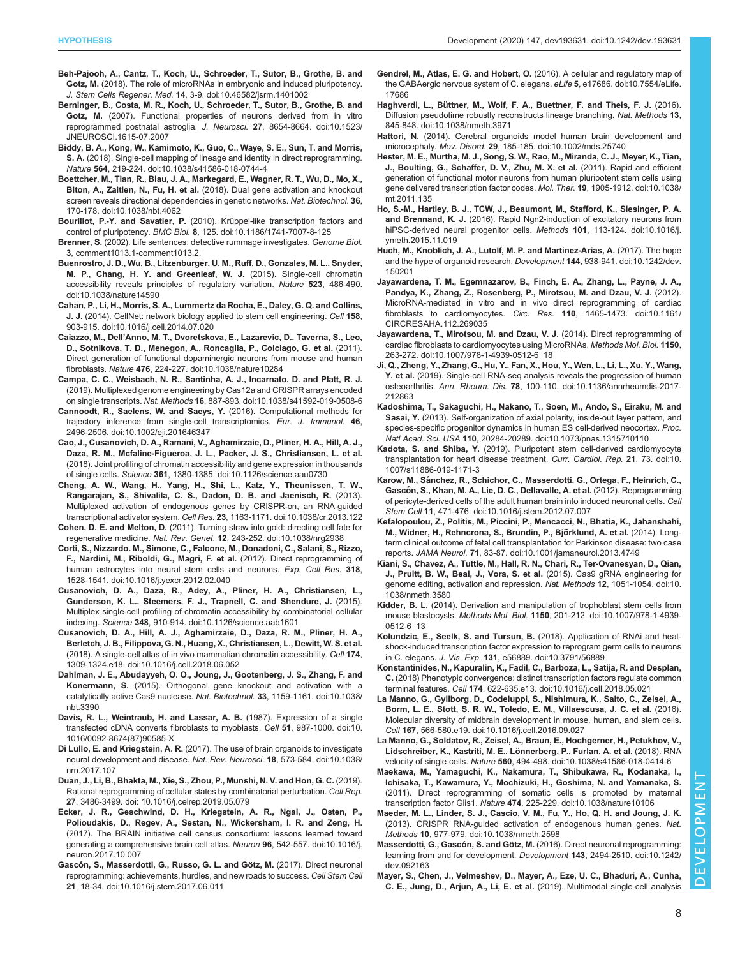- <span id="page-7-0"></span>[Beh-Pajooh, A., Cantz, T., Koch, U., Schroeder, T., Sutor, B., Grothe, B. and](https://doi.org/10.46582/jsrm.1401002) Gotz, M. [\(2018\). The role of microRNAs in embryonic and induced pluripotency.](https://doi.org/10.46582/jsrm.1401002) J. Stem Cells Regener. Med. 14[, 3-9. doi:10.46582/jsrm.1401002](https://doi.org/10.46582/jsrm.1401002)
- [Berninger, B., Costa, M. R., Koch, U., Schroeder, T., Sutor, B., Grothe, B. and](https://doi.org/10.1523/JNEUROSCI.1615-07.2007) Gotz, M. [\(2007\). Functional properties of neurons derived from in vitro](https://doi.org/10.1523/JNEUROSCI.1615-07.2007) [reprogrammed postnatal astroglia.](https://doi.org/10.1523/JNEUROSCI.1615-07.2007) J. Neurosci. 27, 8654-8664. doi:10.1523/ [JNEUROSCI.1615-07.2007](https://doi.org/10.1523/JNEUROSCI.1615-07.2007)
- [Biddy, B. A., Kong, W., Kamimoto, K., Guo, C., Waye, S. E., Sun, T. and Morris,](https://doi.org/10.1038/s41586-018-0744-4) S. A. [\(2018\). Single-cell mapping of lineage and identity in direct reprogramming.](https://doi.org/10.1038/s41586-018-0744-4) Nature 564[, 219-224. doi:10.1038/s41586-018-0744-4](https://doi.org/10.1038/s41586-018-0744-4)
- [Boettcher, M., Tian, R., Blau, J. A., Markegard, E., Wagner, R. T., Wu, D., Mo, X.,](https://doi.org/10.1038/nbt.4062) Biton, A., Zaitlen, N., Fu, H. et al. [\(2018\). Dual gene activation and knockout](https://doi.org/10.1038/nbt.4062) [screen reveals directional dependencies in genetic networks.](https://doi.org/10.1038/nbt.4062) Nat. Biotechnol. 36, [170-178. doi:10.1038/nbt.4062](https://doi.org/10.1038/nbt.4062)
- [Bourillot, P.-Y. and Savatier, P.](https://doi.org/10.1186/1741-7007-8-125) (2010). Krüppel-like transcription factors and control of pluripotency. BMC Biol. 8[, 125. doi:10.1186/1741-7007-8-125](https://doi.org/10.1186/1741-7007-8-125)
- Brenner, S. (2002). Life sentences: detective rummage investigates. Genome Biol. 3, comment1013.1-comment1013.2.
- [Buenrostro, J. D., Wu, B., Litzenburger, U. M., Ruff, D., Gonzales, M. L., Snyder,](https://doi.org/10.1038/nature14590) [M. P., Chang, H. Y. and Greenleaf, W. J.](https://doi.org/10.1038/nature14590) (2015). Single-cell chromatin [accessibility reveals principles of regulatory variation.](https://doi.org/10.1038/nature14590) Nature 523, 486-490. [doi:10.1038/nature14590](https://doi.org/10.1038/nature14590)
- [Cahan, P., Li, H., Morris, S. A., Lummertz da Rocha, E., Daley, G. Q. and Collins,](https://doi.org/10.1016/j.cell.2014.07.020) J. J. [\(2014\). CellNet: network biology applied to stem cell engineering.](https://doi.org/10.1016/j.cell.2014.07.020) Cell 158, [903-915. doi:10.1016/j.cell.2014.07.020](https://doi.org/10.1016/j.cell.2014.07.020)
- Caiazzo, M., Dell'[Anno, M. T., Dvoretskova, E., Lazarevic, D., Taverna, S., Leo,](https://doi.org/10.1038/nature10284) [D., Sotnikova, T. D., Menegon, A., Roncaglia, P., Colciago, G. et al.](https://doi.org/10.1038/nature10284) (2011). [Direct generation of functional dopaminergic neurons from mouse and human](https://doi.org/10.1038/nature10284) fibroblasts. Nature 476[, 224-227. doi:10.1038/nature10284](https://doi.org/10.1038/nature10284)
- [Campa, C. C., Weisbach, N. R., Santinha, A. J., Incarnato, D. and Platt, R. J.](https://doi.org/10.1038/s41592-019-0508-6) [\(2019\). Multiplexed genome engineering by Cas12a and CRISPR arrays encoded](https://doi.org/10.1038/s41592-019-0508-6) on single transcripts. Nat. Methods 16[, 887-893. doi:10.1038/s41592-019-0508-6](https://doi.org/10.1038/s41592-019-0508-6)
- [Cannoodt, R., Saelens, W. and Saeys, Y.](https://doi.org/10.1002/eji.201646347) (2016). Computational methods for [trajectory inference from single-cell transcriptomics.](https://doi.org/10.1002/eji.201646347) Eur. J. Immunol. 46, [2496-2506. doi:10.1002/eji.201646347](https://doi.org/10.1002/eji.201646347)
- [Cao, J., Cusanovich, D. A., Ramani, V., Aghamirzaie, D., Pliner, H. A., Hill, A. J.,](https://doi.org/10.1126/science.aau0730) [Daza, R. M., Mcfaline-Figueroa, J. L., Packer, J. S., Christiansen, L. et al.](https://doi.org/10.1126/science.aau0730) [\(2018\). Joint profiling of chromatin accessibility and gene expression in thousands](https://doi.org/10.1126/science.aau0730) of single cells. Science 361[, 1380-1385. doi:10.1126/science.aau0730](https://doi.org/10.1126/science.aau0730)
- [Cheng, A. W., Wang, H., Yang, H., Shi, L., Katz, Y., Theunissen, T. W.,](https://doi.org/10.1038/cr.2013.122) [Rangarajan, S., Shivalila, C. S., Dadon, D. B. and Jaenisch, R.](https://doi.org/10.1038/cr.2013.122) (2013). [Multiplexed activation of endogenous genes by CRISPR-on, an RNA-guided](https://doi.org/10.1038/cr.2013.122) transcriptional activator system. Cell Res. 23[, 1163-1171. doi:10.1038/cr.2013.122](https://doi.org/10.1038/cr.2013.122)
- Cohen, D. E. and Melton, D. [\(2011\). Turning straw into gold: directing cell fate for](https://doi.org/10.1038/nrg2938) regenerative medicine. Nat. Rev. Genet. 12[, 243-252. doi:10.1038/nrg2938](https://doi.org/10.1038/nrg2938)
- [Corti, S., Nizzardo. M., Simone, C., Falcone, M., Donadoni, C., Salani, S., Rizzo,](https://doi.org/10.1016/j.yexcr.2012.02.040) [F., Nardini, M., Riboldi, G., Magri, F. et al.](https://doi.org/10.1016/j.yexcr.2012.02.040) (2012). Direct reprogramming of [human astrocytes into neural stem cells and neurons.](https://doi.org/10.1016/j.yexcr.2012.02.040) Exp. Cell Res. 318, [1528-1541. doi:10.1016/j.yexcr.2012.02.040](https://doi.org/10.1016/j.yexcr.2012.02.040)
- [Cusanovich, D. A., Daza, R., Adey, A., Pliner, H. A., Christiansen, L.,](https://doi.org/10.1126/science.aab1601) [Gunderson, K. L., Steemers, F. J., Trapnell, C. and Shendure, J.](https://doi.org/10.1126/science.aab1601) (2015). [Multiplex single-cell profiling of chromatin accessibility by combinatorial cellular](https://doi.org/10.1126/science.aab1601) indexing. Science 348[, 910-914. doi:10.1126/science.aab1601](https://doi.org/10.1126/science.aab1601)
- [Cusanovich, D. A., Hill, A. J., Aghamirzaie, D., Daza, R. M., Pliner, H. A.,](https://doi.org/10.1016/j.cell.2018.06.052) [Berletch, J. B., Filippova, G. N., Huang, X., Christiansen, L., Dewitt, W. S. et al.](https://doi.org/10.1016/j.cell.2018.06.052) [\(2018\). A single-cell atlas of in vivo mammalian chromatin accessibility.](https://doi.org/10.1016/j.cell.2018.06.052) Cell 174, [1309-1324.e18. doi:10.1016/j.cell.2018.06.052](https://doi.org/10.1016/j.cell.2018.06.052)
- [Dahlman, J. E., Abudayyeh, O. O., Joung, J., Gootenberg, J. S., Zhang, F. and](https://doi.org/10.1038/nbt.3390) Konermann, S. [\(2015\). Orthogonal gene knockout and activation with a](https://doi.org/10.1038/nbt.3390) [catalytically active Cas9 nuclease.](https://doi.org/10.1038/nbt.3390) Nat. Biotechnol. 33, 1159-1161. doi:10.1038/ [nbt.3390](https://doi.org/10.1038/nbt.3390)
- [Davis, R. L., Weintraub, H. and Lassar, A. B.](https://doi.org/10.1016/0092-8674(87)90585-X) (1987). Expression of a single [transfected cDNA converts fibroblasts to myoblasts.](https://doi.org/10.1016/0092-8674(87)90585-X) Cell 51, 987-1000. doi:10. [1016/0092-8674\(87\)90585-X](https://doi.org/10.1016/0092-8674(87)90585-X)
- Di Lullo, E. and Kriegstein, A. R. [\(2017\). The use of brain organoids to investigate](https://doi.org/10.1038/nrn.2017.107) [neural development and disease.](https://doi.org/10.1038/nrn.2017.107) Nat. Rev. Neurosci. 18, 573-584. doi:10.1038/ [nrn.2017.107](https://doi.org/10.1038/nrn.2017.107)
- Duan, J., Li, B., Bhakta, M., Xie, S., Zhou, P., Munshi, N. V. and Hon, G. C. (2019). Rational reprogramming of cellular states by combinatorial perturbation. Cell Rep. 27, 3486-3499. doi: 10.1016/j.celrep.2019.05.079
- [Ecker, J. R., Geschwind, D. H., Kriegstein, A. R., Ngai, J., Osten, P.,](https://doi.org/10.1016/j.neuron.2017.10.007) [Polioudakis, D., Regev, A., Sestan, N., Wickersham, I. R. and Zeng, H.](https://doi.org/10.1016/j.neuron.2017.10.007) [\(2017\). The BRAIN initiative cell census consortium: lessons learned toward](https://doi.org/10.1016/j.neuron.2017.10.007) [generating a comprehensive brain cell atlas.](https://doi.org/10.1016/j.neuron.2017.10.007) Neuron 96, 542-557. doi:10.1016/j. [neuron.2017.10.007](https://doi.org/10.1016/j.neuron.2017.10.007)
- Gascón, S., Masserdotti, G., Russo, G. L. and Götz, M. (2017). Direct neuronal [reprogramming: achievements, hurdles, and new roads to success.](https://doi.org/10.1016/j.stem.2017.06.011) Cell Stem Cell 21[, 18-34. doi:10.1016/j.stem.2017.06.011](https://doi.org/10.1016/j.stem.2017.06.011)
- [Gendrel, M., Atlas, E. G. and Hobert, O.](https://doi.org/10.7554/eLife.17686) (2016). A cellular and regulatory map of [the GABAergic nervous system of C. elegans.](https://doi.org/10.7554/eLife.17686) eLife 5, e17686. doi:10.7554/eLife. [17686](https://doi.org/10.7554/eLife.17686)
- Haghverdi, L., Bü[ttner, M., Wolf, F. A., Buettner, F. and Theis, F. J.](https://doi.org/10.1038/nmeth.3971) (2016). [Diffusion pseudotime robustly reconstructs lineage branching.](https://doi.org/10.1038/nmeth.3971) Nat. Methods 13, [845-848. doi:10.1038/nmeth.3971](https://doi.org/10.1038/nmeth.3971)
- Hattori, N. [\(2014\). Cerebral organoids model human brain development and](https://doi.org/10.1002/mds.25740) microcephaly. Mov. Disord. 29[, 185-185. doi:10.1002/mds.25740](https://doi.org/10.1002/mds.25740)
- [Hester, M. E., Murtha, M. J., Song, S. W., Rao, M., Miranda, C. J., Meyer, K., Tian,](https://doi.org/10.1038/mt.2011.135) [J., Boulting, G., Schaffer, D. V., Zhu, M. X. et al.](https://doi.org/10.1038/mt.2011.135) (2011). Rapid and efficient [generation of functional motor neurons from human pluripotent stem cells using](https://doi.org/10.1038/mt.2011.135) [gene delivered transcription factor codes.](https://doi.org/10.1038/mt.2011.135) Mol. Ther. 19, 1905-1912. doi:10.1038/ [mt.2011.135](https://doi.org/10.1038/mt.2011.135)
- [Ho, S.-M., Hartley, B. J., TCW, J., Beaumont, M., Stafford, K., Slesinger, P. A.](https://doi.org/10.1016/j.ymeth.2015.11.019) and Brennand, K. J. [\(2016\). Rapid Ngn2-induction of excitatory neurons from](https://doi.org/10.1016/j.ymeth.2015.11.019) [hiPSC-derived neural progenitor cells.](https://doi.org/10.1016/j.ymeth.2015.11.019) Methods 101, 113-124. doi:10.1016/j. [ymeth.2015.11.019](https://doi.org/10.1016/j.ymeth.2015.11.019)
- [Huch, M., Knoblich, J. A., Lutolf, M. P. and Martinez-Arias, A.](https://doi.org/10.1242/dev.150201) (2017). The hope [and the hype of organoid research.](https://doi.org/10.1242/dev.150201) Development 144, 938-941. doi:10.1242/dev. [150201](https://doi.org/10.1242/dev.150201)
- [Jayawardena, T. M., Egemnazarov, B., Finch, E. A., Zhang, L., Payne, J. A.,](https://doi.org/10.1161/CIRCRESAHA.112.269035) [Pandya, K., Zhang, Z., Rosenberg, P., Mirotsou, M. and Dzau, V. J.](https://doi.org/10.1161/CIRCRESAHA.112.269035) (2012). [MicroRNA-mediated in vitro and in vivo direct reprogramming of cardiac](https://doi.org/10.1161/CIRCRESAHA.112.269035) [fibroblasts to cardiomyocytes.](https://doi.org/10.1161/CIRCRESAHA.112.269035) Circ. Res. 110, 1465-1473. doi:10.1161/ [CIRCRESAHA.112.269035](https://doi.org/10.1161/CIRCRESAHA.112.269035)
- [Jayawardena, T., Mirotsou, M. and Dzau, V. J.](https://doi.org/10.1007/978-1-4939-0512-6_18) (2014). Direct reprogramming of [cardiac fibroblasts to cardiomyocytes using MicroRNAs.](https://doi.org/10.1007/978-1-4939-0512-6_18) Methods Mol. Biol. 1150, [263-272. doi:10.1007/978-1-4939-0512-6\\_18](https://doi.org/10.1007/978-1-4939-0512-6_18)
- [Ji, Q., Zheng, Y., Zhang, G., Hu, Y., Fan, X., Hou, Y., Wen, L., Li, L., Xu, Y., Wang,](https://doi.org/10.1136/annrheumdis-2017-212863) Y. et al. [\(2019\). Single-cell RNA-seq analysis reveals the progression of human](https://doi.org/10.1136/annrheumdis-2017-212863) osteoarthritis. Ann. Rheum. Dis. 78[, 100-110. doi:10.1136/annrheumdis-2017-](https://doi.org/10.1136/annrheumdis-2017-212863) [212863](https://doi.org/10.1136/annrheumdis-2017-212863)
- [Kadoshima, T., Sakaguchi, H., Nakano, T., Soen, M., Ando, S., Eiraku, M. and](https://doi.org/10.1073/pnas.1315710110) Sasai, Y. [\(2013\). Self-organization of axial polarity, inside-out layer pattern, and](https://doi.org/10.1073/pnas.1315710110) [species-specific progenitor dynamics in human ES cell-derived neocortex.](https://doi.org/10.1073/pnas.1315710110) Proc. Natl Acad. Sci. USA 110[, 20284-20289. doi:10.1073/pnas.1315710110](https://doi.org/10.1073/pnas.1315710110)
- Kadota, S. and Shiba, Y. [\(2019\). Pluripotent stem cell-derived cardiomyocyte](https://doi.org/10.1007/s11886-019-1171-3) [transplantation for heart disease treatment.](https://doi.org/10.1007/s11886-019-1171-3) Curr. Cardiol. Rep. 21, 73. doi:10. [1007/s11886-019-1171-3](https://doi.org/10.1007/s11886-019-1171-3)
- Karow, M., Sá[nchez, R., Schichor, C., Masserdotti, G., Ortega, F., Heinrich, C.,](https://doi.org/10.1016/j.stem.2012.07.007) Gascó[n, S., Khan, M. A., Lie, D. C., Dellavalle, A. et al.](https://doi.org/10.1016/j.stem.2012.07.007) (2012). Reprogramming [of pericyte-derived cells of the adult human brain into induced neuronal cells.](https://doi.org/10.1016/j.stem.2012.07.007) Cell Stem Cell 11[, 471-476. doi:10.1016/j.stem.2012.07.007](https://doi.org/10.1016/j.stem.2012.07.007)
- [Kefalopoulou, Z., Politis, M., Piccini, P., Mencacci, N., Bhatia, K., Jahanshahi,](https://doi.org/10.1001/jamaneurol.2013.4749) [M., Widner, H., Rehncrona, S., Brundin, P., Bjo](https://doi.org/10.1001/jamaneurol.2013.4749)̈rklund, A. et al. (2014). Long[term clinical outcome of fetal cell transplantation for Parkinson disease: two case](https://doi.org/10.1001/jamaneurol.2013.4749) reports. JAMA Neurol. 71[, 83-87. doi:10.1001/jamaneurol.2013.4749](https://doi.org/10.1001/jamaneurol.2013.4749)
- [Kiani, S., Chavez, A., Tuttle, M., Hall, R. N., Chari, R., Ter-Ovanesyan, D., Qian,](https://doi.org/10.1038/nmeth.3580) [J., Pruitt, B. W., Beal, J., Vora, S. et al.](https://doi.org/10.1038/nmeth.3580) (2015). Cas9 gRNA engineering for [genome editing, activation and repression.](https://doi.org/10.1038/nmeth.3580) Nat. Methods 12, 1051-1054. doi:10. [1038/nmeth.3580](https://doi.org/10.1038/nmeth.3580)
- Kidder, B. L. [\(2014\). Derivation and manipulation of trophoblast stem cells from](https://doi.org/10.1007/978-1-4939-0512-6_13) mouse blastocysts. Methods Mol. Biol. 1150[, 201-212. doi:10.1007/978-1-4939-](https://doi.org/10.1007/978-1-4939-0512-6_13) [0512-6\\_13](https://doi.org/10.1007/978-1-4939-0512-6_13)
- [Kolundzic, E., Seelk, S. and Tursun, B.](https://doi.org/10.3791/56889) (2018). Application of RNAi and heat[shock-induced transcription factor expression to reprogram germ cells to neurons](https://doi.org/10.3791/56889) in C. elegans. J. Vis. Exp. 131[, e56889. doi:10.3791/56889](https://doi.org/10.3791/56889)
- [Konstantinides, N., Kapuralin, K., Fadil, C., Barboza, L., Satija, R. and Desplan,](https://doi.org/10.1016/j.cell.2018.05.021) C. [\(2018\) Phenotypic convergence: distinct transcription factors regulate common](https://doi.org/10.1016/j.cell.2018.05.021) terminal features. Cell 174[, 622-635.e13. doi:10.1016/j.cell.2018.05.021](https://doi.org/10.1016/j.cell.2018.05.021)
- [La Manno, G., Gyllborg, D., Codeluppi, S., Nishimura, K., Salto, C., Zeisel, A.,](https://doi.org/10.1016/j.cell.2016.09.027) [Borm, L. E., Stott, S. R. W., Toledo, E. M., Villaescusa, J. C. et al.](https://doi.org/10.1016/j.cell.2016.09.027) (2016). [Molecular diversity of midbrain development in mouse, human, and stem cells.](https://doi.org/10.1016/j.cell.2016.09.027) Cell 167[, 566-580.e19. doi:10.1016/j.cell.2016.09.027](https://doi.org/10.1016/j.cell.2016.09.027)
- [La Manno, G., Soldatov, R., Zeisel, A., Braun, E., Hochgerner, H., Petukhov, V.,](https://doi.org/10.1038/s41586-018-0414-6) Lidschreiber, K., Kastriti, M. E., Lönnerberg, P., Furlan, A. et al. (2018). RNA velocity of single cells. Nature 560[, 494-498. doi:10.1038/s41586-018-0414-6](https://doi.org/10.1038/s41586-018-0414-6)
- [Maekawa, M., Yamaguchi, K., Nakamura, T., Shibukawa, R., Kodanaka, I.,](https://doi.org/10.1038/nature10106) [Ichisaka, T., Kawamura, Y., Mochizuki, H., Goshima, N. and Yamanaka, S.](https://doi.org/10.1038/nature10106) [\(2011\). Direct reprogramming of somatic cells is promoted by maternal](https://doi.org/10.1038/nature10106) transcription factor Glis1. Nature 474[, 225-229. doi:10.1038/nature10106](https://doi.org/10.1038/nature10106)
- [Maeder, M. L., Linder, S. J., Cascio, V. M., Fu, Y., Ho, Q. H. and Joung, J. K.](https://doi.org/10.1038/nmeth.2598) [\(2013\). CRISPR RNA-guided activation of endogenous human genes.](https://doi.org/10.1038/nmeth.2598) Nat. Methods 10[, 977-979. doi:10.1038/nmeth.2598](https://doi.org/10.1038/nmeth.2598)
- Masserdotti, G., Gascón, S. and Götz, M. [\(2016\). Direct neuronal reprogramming:](https://doi.org/10.1242/dev.092163) [learning from and for development.](https://doi.org/10.1242/dev.092163) Development 143, 2494-2510. doi:10.1242/ [dev.092163](https://doi.org/10.1242/dev.092163)
- [Mayer, S., Chen, J., Velmeshev, D., Mayer, A., Eze, U. C., Bhaduri, A., Cunha,](https://doi.org/10.1016/j.neuron.2019.01.027) [C. E., Jung, D., Arjun, A., Li, E. et al.](https://doi.org/10.1016/j.neuron.2019.01.027) (2019). Multimodal single-cell analysis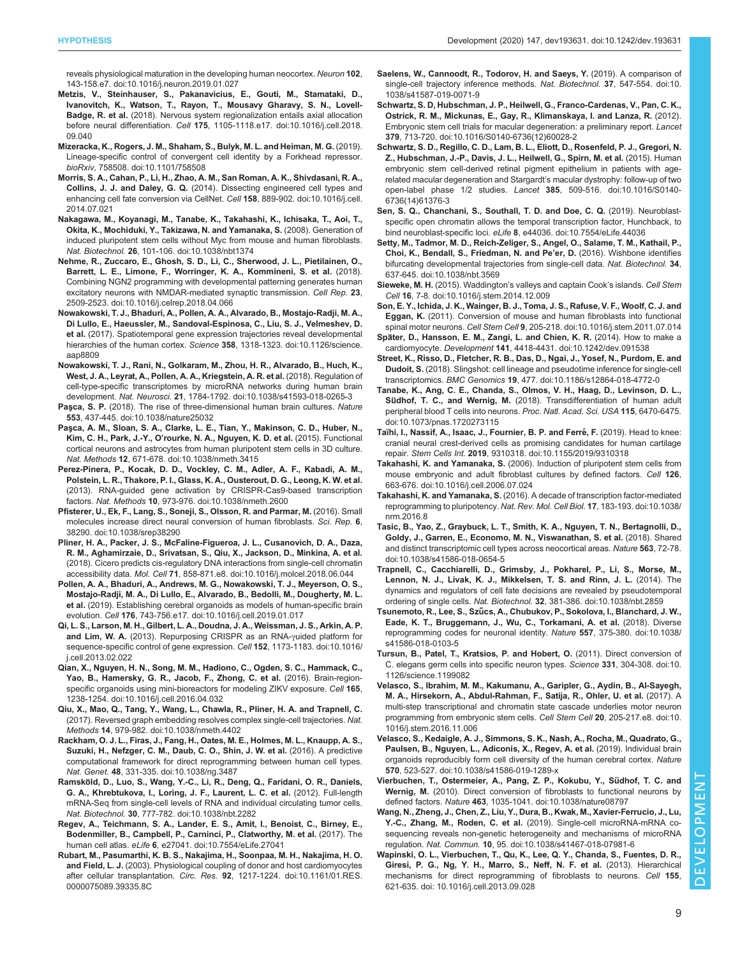<span id="page-8-0"></span>[reveals physiological maturation in the developing human neocortex.](https://doi.org/10.1016/j.neuron.2019.01.027) Neuron 102, [143-158.e7. doi:10.1016/j.neuron.2019.01.027](https://doi.org/10.1016/j.neuron.2019.01.027)

- [Metzis, V., Steinhauser, S., Pakanavicius, E., Gouti, M., Stamataki, D.,](https://doi.org/10.1016/j.cell.2018.09.040) [Ivanovitch, K., Watson, T., Rayon, T., Mousavy Gharavy, S. N., Lovell-](https://doi.org/10.1016/j.cell.2018.09.040)Badge, R. et al. [\(2018\). Nervous system regionalization entails axial allocation](https://doi.org/10.1016/j.cell.2018.09.040) before neural differentiation. Cell 175[, 1105-1118.e17. doi:10.1016/j.cell.2018.](https://doi.org/10.1016/j.cell.2018.09.040) [09.040](https://doi.org/10.1016/j.cell.2018.09.040)
- [Mizeracka, K., Rogers, J. M., Shaham, S., Bulyk, M. L. and Heiman, M. G.](https://doi.org/10.1101/758508) (2019). [Lineage-specific control of convergent cell identity by a Forkhead repressor.](https://doi.org/10.1101/758508) bioRxiv[, 758508. doi:10.1101/758508](https://doi.org/10.1101/758508)
- [Morris, S. A., Cahan, P., Li, H., Zhao, A. M., San Roman, A. K., Shivdasani, R. A.,](https://doi.org/10.1016/j.cell.2014.07.021) Collins, J. J. and Daley, G. Q. [\(2014\). Dissecting engineered cell types and](https://doi.org/10.1016/j.cell.2014.07.021) [enhancing cell fate conversion via CellNet.](https://doi.org/10.1016/j.cell.2014.07.021) Cell 158, 889-902. doi:10.1016/j.cell. [2014.07.021](https://doi.org/10.1016/j.cell.2014.07.021)
- [Nakagawa, M., Koyanagi, M., Tanabe, K., Takahashi, K., Ichisaka, T., Aoi, T.,](https://doi.org/10.1038/nbt1374) [Okita, K., Mochiduki, Y., Takizawa, N. and Yamanaka, S.](https://doi.org/10.1038/nbt1374) (2008). Generation of [induced pluripotent stem cells without Myc from mouse and human fibroblasts.](https://doi.org/10.1038/nbt1374) Nat. Biotechnol. 26[, 101-106. doi:10.1038/nbt1374](https://doi.org/10.1038/nbt1374)
- [Nehme, R., Zuccaro, E., Ghosh, S. D., Li, C., Sherwood, J. L., Pietilainen, O.,](https://doi.org/10.1016/j.celrep.2018.04.066) [Barrett, L. E., Limone, F., Worringer, K. A., Kommineni, S. et al.](https://doi.org/10.1016/j.celrep.2018.04.066) (2018). [Combining NGN2 programming with developmental patterning generates human](https://doi.org/10.1016/j.celrep.2018.04.066) [excitatory neurons with NMDAR-mediated synaptic transmission.](https://doi.org/10.1016/j.celrep.2018.04.066) Cell Rep. 23, [2509-2523. doi:10.1016/j.celrep.2018.04.066](https://doi.org/10.1016/j.celrep.2018.04.066)
- [Nowakowski, T. J., Bhaduri, A., Pollen, A. A., Alvarado, B., Mostajo-Radji, M. A.,](https://doi.org/10.1126/science.aap8809) [Di Lullo, E., Haeussler, M., Sandoval-Espinosa, C., Liu, S. J., Velmeshev, D.](https://doi.org/10.1126/science.aap8809) et al. [\(2017\). Spatiotemporal gene expression trajectories reveal developmental](https://doi.org/10.1126/science.aap8809) hierarchies of the human cortex. Science 358[, 1318-1323. doi:10.1126/science.](https://doi.org/10.1126/science.aap8809) [aap8809](https://doi.org/10.1126/science.aap8809)
- [Nowakowski, T. J., Rani, N., Golkaram, M., Zhou, H. R., Alvarado, B., Huch, K.,](https://doi.org/10.1038/s41593-018-0265-3) [West, J. A., Leyrat, A., Pollen, A. A., Kriegstein, A. R. et al.](https://doi.org/10.1038/s41593-018-0265-3) (2018). Regulation of [cell-type-specific transcriptomes by microRNA networks during human brain](https://doi.org/10.1038/s41593-018-0265-3) development. Nat. Neurosci. 21[, 1784-1792. doi:10.1038/s41593-018-0265-3](https://doi.org/10.1038/s41593-018-0265-3)
- Paşca, S. P. [\(2018\). The rise of three-dimensional human brain cultures.](https://doi.org/10.1038/nature25032) Nature 553[, 437-445. doi:10.1038/nature25032](https://doi.org/10.1038/nature25032)
- Paş[ca, A. M., Sloan, S. A., Clarke, L. E., Tian, Y., Makinson, C. D., Huber, N.,](https://doi.org/10.1038/nmeth.3415) Kim, C. H., Park, J.-Y., O'[rourke, N. A., Nguyen, K. D. et al.](https://doi.org/10.1038/nmeth.3415) (2015). Functional [cortical neurons and astrocytes from human pluripotent stem cells in 3D culture.](https://doi.org/10.1038/nmeth.3415) Nat. Methods 12[, 671-678. doi:10.1038/nmeth.3415](https://doi.org/10.1038/nmeth.3415)
- [Perez-Pinera, P., Kocak, D. D., Vockley, C. M., Adler, A. F., Kabadi, A. M.,](https://doi.org/10.1038/nmeth.2600) [Polstein, L. R., Thakore, P. I., Glass, K. A., Ousterout, D. G., Leong, K. W. et al.](https://doi.org/10.1038/nmeth.2600) [\(2013\). RNA-guided gene activation by CRISPR-Cas9-based transcription](https://doi.org/10.1038/nmeth.2600) factors. Nat. Methods 10[, 973-976. doi:10.1038/nmeth.2600](https://doi.org/10.1038/nmeth.2600)
- [Pfisterer, U., Ek, F., Lang, S., Soneji, S., Olsson, R. and Parmar, M.](https://doi.org/10.1038/srep38290) (2016). Small [molecules increase direct neural conversion of human fibroblasts.](https://doi.org/10.1038/srep38290) Sci. Rep. 6, [38290. doi:10.1038/srep38290](https://doi.org/10.1038/srep38290)
- [Pliner, H. A., Packer, J. S., McFaline-Figueroa, J. L., Cusanovich, D. A., Daza,](https://doi.org/10.1016/j.molcel.2018.06.044) [R. M., Aghamirzaie, D., Srivatsan, S., Qiu, X., Jackson, D., Minkina, A. et al.](https://doi.org/10.1016/j.molcel.2018.06.044) [\(2018\). Cicero predicts cis-regulatory DNA interactions from single-cell chromatin](https://doi.org/10.1016/j.molcel.2018.06.044) accessibility data. Mol. Cell 71[, 858-871.e8. doi:10.1016/j.molcel.2018.06.044](https://doi.org/10.1016/j.molcel.2018.06.044)
- [Pollen, A. A., Bhaduri, A., Andrews, M. G., Nowakowski, T. J., Meyerson, O. S.,](https://doi.org/10.1016/j.cell.2019.01.017) [Mostajo-Radji, M. A., Di Lullo, E., Alvarado, B., Bedolli, M., Dougherty, M. L.](https://doi.org/10.1016/j.cell.2019.01.017) et al. [\(2019\). Establishing cerebral organoids as models of human-specific brain](https://doi.org/10.1016/j.cell.2019.01.017) evolution. Cell 176[, 743-756.e17. doi:10.1016/j.cell.2019.01.017](https://doi.org/10.1016/j.cell.2019.01.017)
- [Qi, L. S., Larson, M. H., Gilbert, L. A., Doudna, J. A., Weissman, J. S., Arkin, A. P.](https://doi.org/10.1016/j.cell.2013.02.022) and Lim, W. A. [\(2013\). Repurposing CRISPR as an RNA-](https://doi.org/10.1016/j.cell.2013.02.022)γuided platform for [sequence-specific control of gene expression.](https://doi.org/10.1016/j.cell.2013.02.022) Cell 152, 1173-1183. doi:10.1016/ [j.cell.2013.02.022](https://doi.org/10.1016/j.cell.2013.02.022)
- [Qian, X., Nguyen, H. N., Song, M. M., Hadiono, C., Ogden, S. C., Hammack, C.,](https://doi.org/10.1016/j.cell.2016.04.032) [Yao, B., Hamersky, G. R., Jacob, F., Zhong, C. et al.](https://doi.org/10.1016/j.cell.2016.04.032) (2016). Brain-region[specific organoids using mini-bioreactors for modeling ZIKV exposure.](https://doi.org/10.1016/j.cell.2016.04.032) Cell 165, [1238-1254. doi:10.1016/j.cell.2016.04.032](https://doi.org/10.1016/j.cell.2016.04.032)
- [Qiu, X., Mao, Q., Tang, Y., Wang, L., Chawla, R., Pliner, H. A. and Trapnell, C.](https://doi.org/10.1038/nmeth.4402) [\(2017\). Reversed graph embedding resolves complex single-cell trajectories.](https://doi.org/10.1038/nmeth.4402) Nat. Methods 14[, 979-982. doi:10.1038/nmeth.4402](https://doi.org/10.1038/nmeth.4402)
- [Rackham, O. J. L., Firas, J., Fang, H., Oates, M. E., Holmes, M. L., Knaupp, A. S.,](https://doi.org/10.1038/ng.3487) [Suzuki, H., Nefzger, C. M., Daub, C. O., Shin, J. W. et al.](https://doi.org/10.1038/ng.3487) (2016). A predictive [computational framework for direct reprogramming between human cell types.](https://doi.org/10.1038/ng.3487) Nat. Genet. 48[, 331-335. doi:10.1038/ng.3487](https://doi.org/10.1038/ng.3487)
- Ramskö[ld, D., Luo, S., Wang, Y.-C., Li, R., Deng, Q., Faridani, O. R., Daniels,](https://doi.org/10.1038/nbt.2282) [G. A., Khrebtukova, I., Loring, J. F., Laurent, L. C. et al.](https://doi.org/10.1038/nbt.2282) (2012). Full-length [mRNA-Seq from single-cell levels of RNA and individual circulating tumor cells.](https://doi.org/10.1038/nbt.2282) Nat. Biotechnol. 30[, 777-782. doi:10.1038/nbt.2282](https://doi.org/10.1038/nbt.2282)
- [Regev, A., Teichmann, S. A., Lander, E. S., Amit, I., Benoist, C., Birney, E.,](https://doi.org/10.7554/eLife.27041) [Bodenmiller, B., Campbell, P., Carninci, P., Clatworthy, M. et al.](https://doi.org/10.7554/eLife.27041) (2017). The human cell atlas. eLife 6[, e27041. doi:10.7554/eLife.27041](https://doi.org/10.7554/eLife.27041)
- [Rubart, M., Pasumarthi, K. B. S., Nakajima, H., Soonpaa, M. H., Nakajima, H. O.](https://doi.org/10.1161/01.RES.0000075089.39335.8C) and Field, L. J. [\(2003\). Physiological coupling of donor and host cardiomyocytes](https://doi.org/10.1161/01.RES.0000075089.39335.8C) after cellular transplantation. Circ. Res. 92[, 1217-1224. doi:10.1161/01.RES.](https://doi.org/10.1161/01.RES.0000075089.39335.8C) [0000075089.39335.8C](https://doi.org/10.1161/01.RES.0000075089.39335.8C)
- [Saelens, W., Cannoodt, R., Todorov, H. and Saeys, Y.](https://doi.org/10.1038/s41587-019-0071-9) (2019). A comparison of [single-cell trajectory inference methods.](https://doi.org/10.1038/s41587-019-0071-9) Nat. Biotechnol. 37, 547-554. doi:10. [1038/s41587-019-0071-9](https://doi.org/10.1038/s41587-019-0071-9)
- [Schwartz, S. D, Hubschman, J. P., Heilwell, G., Franco-Cardenas, V., Pan, C. K.,](https://doi.org/10.1016/S0140-6736(12)60028-2) [Ostrick, R. M., Mickunas, E., Gay, R., Klimanskaya, I. and Lanza, R.](https://doi.org/10.1016/S0140-6736(12)60028-2) (2012). [Embryonic stem cell trials for macular degeneration: a preliminary report.](https://doi.org/10.1016/S0140-6736(12)60028-2) Lancet 379[, 713-720. doi:10.1016/S0140-6736\(12\)60028-2](https://doi.org/10.1016/S0140-6736(12)60028-2)
- [Schwartz, S. D., Regillo, C. D., Lam, B. L., Eliott, D., Rosenfeld, P. J., Gregori, N.](https://doi.org/10.1016/S0140-6736(14)61376-3) [Z., Hubschman, J.-P., Davis, J. L., Heilwell, G., Spirn, M. et al.](https://doi.org/10.1016/S0140-6736(14)61376-3) (2015). Human [embryonic stem cell-derived retinal pigment epithelium in patients with age](https://doi.org/10.1016/S0140-6736(14)61376-3)[related macular degeneration and Stargardt](https://doi.org/10.1016/S0140-6736(14)61376-3)'s macular dystrophy: follow-up of two [open-label phase 1/2 studies.](https://doi.org/10.1016/S0140-6736(14)61376-3) Lancet 385, 509-516. doi:10.1016/S0140- [6736\(14\)61376-3](https://doi.org/10.1016/S0140-6736(14)61376-3)
- [Sen, S. Q., Chanchani, S., Southall, T. D. and Doe, C. Q.](https://doi.org/10.7554/eLife.44036) (2019). Neuroblast[specific open chromatin allows the temporal transcription factor, Hunchback, to](https://doi.org/10.7554/eLife.44036) bind neuroblast-specific loci. eLife 8[, e44036. doi:10.7554/eLife.44036](https://doi.org/10.7554/eLife.44036)
- [Setty, M., Tadmor, M. D., Reich-Zeliger, S., Angel, O., Salame, T. M., Kathail, P.,](https://doi.org/10.1038/nbt.3569) [Choi, K., Bendall, S., Friedman, N. and Pe](https://doi.org/10.1038/nbt.3569)'er, D. (2016). Wishbone identifies [bifurcating developmental trajectories from single-cell data.](https://doi.org/10.1038/nbt.3569) Nat. Biotechnol. 34, [637-645. doi:10.1038/nbt.3569](https://doi.org/10.1038/nbt.3569)
- Sieweke, M. H. (2015). Waddington'[s valleys and captain Cook](https://doi.org/10.1016/j.stem.2014.12.009)'s islands. Cell Stem Cell 16[, 7-8. doi:10.1016/j.stem.2014.12.009](https://doi.org/10.1016/j.stem.2014.12.009)
- [Son, E. Y., Ichida, J. K., Wainger, B. J., Toma, J. S., Rafuse, V. F., Woolf, C. J. and](https://doi.org/10.1016/j.stem.2011.07.014) Eggan, K. [\(2011\). Conversion of mouse and human fibroblasts into functional](https://doi.org/10.1016/j.stem.2011.07.014) spinal motor neurons. Cell Stem Cell 9[, 205-218. doi:10.1016/j.stem.2011.07.014](https://doi.org/10.1016/j.stem.2011.07.014)
- Spä[ter, D., Hansson, E. M., Zangi, L. and Chien, K. R.](https://doi.org/10.1242/dev.091538) (2014). How to make a cardiomyocyte. Development 141[, 4418-4431. doi:10.1242/dev.091538](https://doi.org/10.1242/dev.091538)
- [Street, K., Risso, D., Fletcher, R. B., Das, D., Ngai, J., Yosef, N., Purdom, E. and](https://doi.org/10.1186/s12864-018-4772-0) Dudoit, S. [\(2018\). Slingshot: cell lineage and pseudotime inference for single-cell](https://doi.org/10.1186/s12864-018-4772-0) transcriptomics. BMC Genomics 19[, 477. doi:10.1186/s12864-018-4772-0](https://doi.org/10.1186/s12864-018-4772-0)
- [Tanabe, K., Ang, C. E., Chanda, S., Olmos, V. H., Haag, D., Levinson, D. L.,](https://doi.org/10.1073/pnas.1720273115) Südhof, T. C., and Wernig, M. [\(2018\). Transdifferentiation of human adult](https://doi.org/10.1073/pnas.1720273115) [peripheral blood T cells into neurons.](https://doi.org/10.1073/pnas.1720273115) Proc. Natl. Acad. Sci. USA 115, 6470-6475. [doi:10.1073/pnas.1720273115](https://doi.org/10.1073/pnas.1720273115)
- Taïhi, I., Nassif, A., Isaac, J., Fournier, B. P. and Ferré, F. (2019). Head to knee: [cranial neural crest-derived cells as promising candidates for human cartilage](https://doi.org/10.1155/2019/9310318) repair. Stem Cells Int. 2019[, 9310318. doi:10.1155/2019/9310318](https://doi.org/10.1155/2019/9310318)
- Takahashi, K. and Yamanaka, S. [\(2006\). Induction of pluripotent stem cells from](https://doi.org/10.1016/j.cell.2006.07.024) [mouse embryonic and adult fibroblast cultures by defined factors.](https://doi.org/10.1016/j.cell.2006.07.024) Cell 126, [663-676. doi:10.1016/j.cell.2006.07.024](https://doi.org/10.1016/j.cell.2006.07.024)
- Takahashi, K. and Yamanaka, S. [\(2016\). A decade of transcription factor-mediated](https://doi.org/10.1038/nrm.2016.8) [reprogramming to pluripotency.](https://doi.org/10.1038/nrm.2016.8) Nat. Rev. Mol. Cell Biol. 17, 183-193. doi:10.1038/ [nrm.2016.8](https://doi.org/10.1038/nrm.2016.8)
- [Tasic, B., Yao, Z., Graybuck, L. T., Smith, K. A., Nguyen, T. N., Bertagnolli, D.,](https://doi.org/10.1038/s41586-018-0654-5) [Goldy, J., Garren, E., Economo, M. N., Viswanathan, S. et al.](https://doi.org/10.1038/s41586-018-0654-5) (2018). Shared [and distinct transcriptomic cell types across neocortical areas.](https://doi.org/10.1038/s41586-018-0654-5) Nature 563, 72-78. [doi:10.1038/s41586-018-0654-5](https://doi.org/10.1038/s41586-018-0654-5)
- [Trapnell, C., Cacchiarelli, D., Grimsby, J., Pokharel, P., Li, S., Morse, M.,](https://doi.org/10.1038/nbt.2859) [Lennon, N. J., Livak, K. J., Mikkelsen, T. S. and Rinn, J. L.](https://doi.org/10.1038/nbt.2859) (2014). The [dynamics and regulators of cell fate decisions are revealed by pseudotemporal](https://doi.org/10.1038/nbt.2859) ordering of single cells. Nat. Biotechnol. 32[, 381-386. doi:10.1038/nbt.2859](https://doi.org/10.1038/nbt.2859)
- Tsunemoto, R., Lee, S., Szű[cs, A., Chubukov, P., Sokolova, I., Blanchard, J. W.,](https://doi.org/10.1038/s41586-018-0103-5) [Eade, K. T., Bruggemann, J., Wu, C., Torkamani, A. et al.](https://doi.org/10.1038/s41586-018-0103-5) (2018). Diverse [reprogramming codes for neuronal identity.](https://doi.org/10.1038/s41586-018-0103-5) Nature 557, 375-380. doi:10.1038/ [s41586-018-0103-5](https://doi.org/10.1038/s41586-018-0103-5)
- [Tursun, B., Patel, T., Kratsios, P. and Hobert, O.](https://doi.org/10.1126/science.1199082) (2011). Direct conversion of [C. elegans germ cells into specific neuron types.](https://doi.org/10.1126/science.1199082) Science 331, 304-308. doi:10. [1126/science.1199082](https://doi.org/10.1126/science.1199082)
- [Velasco, S., Ibrahim, M. M., Kakumanu, A., Garipler, G., Aydin, B., Al-Sayegh,](https://doi.org/10.1016/j.stem.2016.11.006) [M. A., Hirsekorn, A., Abdul-Rahman, F., Satija, R., Ohler, U. et al.](https://doi.org/10.1016/j.stem.2016.11.006) (2017). A [multi-step transcriptional and chromatin state cascade underlies motor neuron](https://doi.org/10.1016/j.stem.2016.11.006) [programming from embryonic stem cells.](https://doi.org/10.1016/j.stem.2016.11.006) Cell Stem Cell 20, 205-217.e8. doi:10. [1016/j.stem.2016.11.006](https://doi.org/10.1016/j.stem.2016.11.006)
- [Velasco, S., Kedaigle, A. J., Simmons, S. K., Nash, A., Rocha, M., Quadrato, G.,](https://doi.org/10.1038/s41586-019-1289-x) [Paulsen, B., Nguyen, L., Adiconis, X., Regev, A. et al.](https://doi.org/10.1038/s41586-019-1289-x) (2019). Individual brain [organoids reproducibly form cell diversity of the human cerebral cortex.](https://doi.org/10.1038/s41586-019-1289-x) Nature 570[, 523-527. doi:10.1038/s41586-019-1289-x](https://doi.org/10.1038/s41586-019-1289-x)
- [Vierbuchen, T., Ostermeier, A., Pang, Z. P., Kokubu, Y., Su](https://doi.org/10.1038/nature08797)̈dhof, T. C. and Wernig, M. [\(2010\). Direct conversion of fibroblasts to functional neurons by](https://doi.org/10.1038/nature08797) defined factors. Nature 463[, 1035-1041. doi:10.1038/nature08797](https://doi.org/10.1038/nature08797)
- [Wang, N., Zheng, J., Chen, Z., Liu, Y., Dura, B., Kwak, M., Xavier-Ferrucio, J., Lu,](https://doi.org/10.1038/s41467-018-07981-6) Y.-C., Zhang, M., Roden, C. et al. [\(2019\). Single-cell microRNA-mRNA co](https://doi.org/10.1038/s41467-018-07981-6)[sequencing reveals non-genetic heterogeneity and mechanisms of microRNA](https://doi.org/10.1038/s41467-018-07981-6) regulation. Nat. Commun. 10[, 95. doi:10.1038/s41467-018-07981-6](https://doi.org/10.1038/s41467-018-07981-6)
- [Wapinski, O. L., Vierbuchen, T., Qu, K., Lee, Q. Y., Chanda, S., Fuentes, D. R.,](https://doi.org/ 10.1016/j.cell.2013.09.028) [Giresi, P. G., Ng, Y. H., Marro, S., Neff, N. F. et al.](https://doi.org/ 10.1016/j.cell.2013.09.028) (2013). Hierarchical [mechanisms for direct reprogramming of fibroblasts to neurons.](https://doi.org/ 10.1016/j.cell.2013.09.028) Cell 155, [621-635. doi: 10.1016/j.cell.2013.09.028](https://doi.org/ 10.1016/j.cell.2013.09.028)